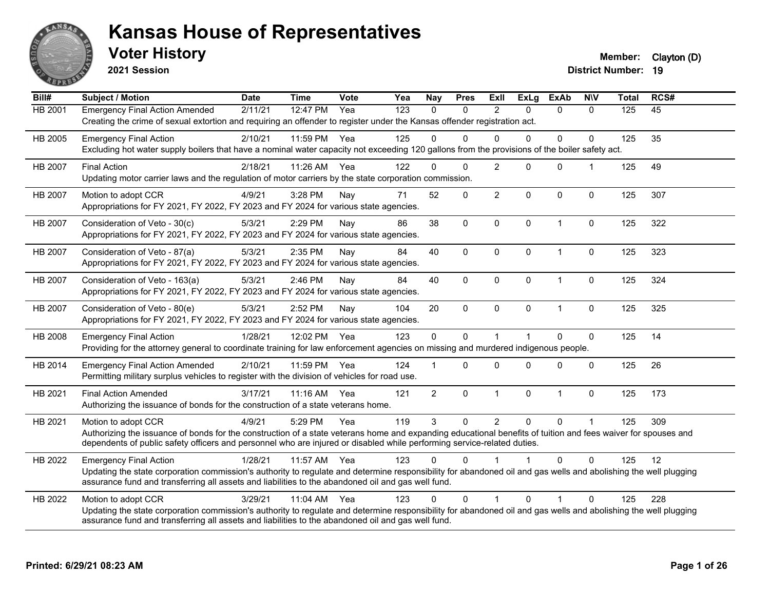

**2021 Session**

**Voter History Member:** Clayton (D)

| Bill#          | <b>Subject / Motion</b>                                                                                                                                                                                                                                                                                         | <b>Date</b> | <b>Time</b> | <b>Vote</b> | Yea | <b>Nay</b>     | <b>Pres</b>  | Exll           | <b>ExLg</b>          | <b>ExAb</b>    | <b>NIV</b>   | <b>Total</b> | RCS# |
|----------------|-----------------------------------------------------------------------------------------------------------------------------------------------------------------------------------------------------------------------------------------------------------------------------------------------------------------|-------------|-------------|-------------|-----|----------------|--------------|----------------|----------------------|----------------|--------------|--------------|------|
| HB 2001        | <b>Emergency Final Action Amended</b><br>Creating the crime of sexual extortion and requiring an offender to register under the Kansas offender registration act.                                                                                                                                               | 2/11/21     | 12:47 PM    | Yea         | 123 | $\mathbf{0}$   | $\Omega$     | $\overline{2}$ | $\Omega$             | $\mathbf{0}$   | $\mathbf{0}$ | 125          | 45   |
| HB 2005        | <b>Emergency Final Action</b><br>Excluding hot water supply boilers that have a nominal water capacity not exceeding 120 gallons from the provisions of the boiler safety act.                                                                                                                                  | 2/10/21     | 11:59 PM    | Yea         | 125 | $\Omega$       | $\Omega$     | $\Omega$       | $\Omega$             | 0              | $\Omega$     | 125          | 35   |
| <b>HB 2007</b> | <b>Final Action</b><br>Updating motor carrier laws and the regulation of motor carriers by the state corporation commission.                                                                                                                                                                                    | 2/18/21     | 11:26 AM    | Yea         | 122 | $\Omega$       | $\Omega$     | $\overline{2}$ | $\Omega$             | $\mathbf{0}$   |              | 125          | 49   |
| <b>HB 2007</b> | Motion to adopt CCR<br>Appropriations for FY 2021, FY 2022, FY 2023 and FY 2024 for various state agencies.                                                                                                                                                                                                     | 4/9/21      | 3:28 PM     | Nay         | 71  | 52             | $\mathbf 0$  | $\overline{c}$ | 0                    | $\mathbf 0$    | $\mathbf 0$  | 125          | 307  |
| <b>HB 2007</b> | Consideration of Veto - 30(c)<br>Appropriations for FY 2021, FY 2022, FY 2023 and FY 2024 for various state agencies.                                                                                                                                                                                           | 5/3/21      | 2:29 PM     | Nay         | 86  | 38             | $\mathbf 0$  | $\mathbf 0$    | $\mathbf{0}$         | $\overline{1}$ | $\mathbf 0$  | 125          | 322  |
| <b>HB 2007</b> | Consideration of Veto - 87(a)<br>Appropriations for FY 2021, FY 2022, FY 2023 and FY 2024 for various state agencies.                                                                                                                                                                                           | 5/3/21      | 2:35 PM     | Nav         | 84  | 40             | $\mathbf{0}$ | $\Omega$       | $\Omega$             | $\overline{1}$ | 0            | 125          | 323  |
| <b>HB 2007</b> | Consideration of Veto - 163(a)<br>Appropriations for FY 2021, FY 2022, FY 2023 and FY 2024 for various state agencies.                                                                                                                                                                                          | 5/3/21      | 2:46 PM     | Nay         | 84  | 40             | $\mathbf 0$  | $\mathbf 0$    | 0                    | $\mathbf{1}$   | $\pmb{0}$    | 125          | 324  |
| HB 2007        | Consideration of Veto - 80(e)<br>Appropriations for FY 2021, FY 2022, FY 2023 and FY 2024 for various state agencies.                                                                                                                                                                                           | 5/3/21      | 2:52 PM     | Nay         | 104 | 20             | $\mathbf 0$  | $\mathbf 0$    | $\Omega$             | $\overline{1}$ | $\mathbf 0$  | 125          | 325  |
| HB 2008        | <b>Emergency Final Action</b><br>Providing for the attorney general to coordinate training for law enforcement agencies on missing and murdered indigenous people.                                                                                                                                              | 1/28/21     | 12:02 PM    | Yea         | 123 | $\mathbf 0$    | $\Omega$     | $\overline{1}$ | $\blacktriangleleft$ | $\Omega$       | $\mathbf 0$  | 125          | 14   |
| HB 2014        | <b>Emergency Final Action Amended</b><br>Permitting military surplus vehicles to register with the division of vehicles for road use.                                                                                                                                                                           | 2/10/21     | 11:59 PM    | Yea         | 124 |                | $\Omega$     | $\Omega$       | $\Omega$             | $\Omega$       | $\Omega$     | 125          | 26   |
| HB 2021        | <b>Final Action Amended</b><br>Authorizing the issuance of bonds for the construction of a state veterans home.                                                                                                                                                                                                 | 3/17/21     | 11:16 AM    | Yea         | 121 | $\overline{2}$ | $\mathbf 0$  | $\mathbf{1}$   | 0                    | $\mathbf{1}$   | $\mathbf 0$  | 125          | 173  |
| HB 2021        | Motion to adopt CCR<br>Authorizing the issuance of bonds for the construction of a state veterans home and expanding educational benefits of tuition and fees waiver for spouses and<br>dependents of public safety officers and personnel who are injured or disabled while performing service-related duties. | 4/9/21      | 5:29 PM     | Yea         | 119 | 3              | $\Omega$     | $\overline{2}$ | $\Omega$             | $\Omega$       |              | 125          | 309  |
| HB 2022        | <b>Emergency Final Action</b><br>Updating the state corporation commission's authority to regulate and determine responsibility for abandoned oil and gas wells and abolishing the well plugging<br>assurance fund and transferring all assets and liabilities to the abandoned oil and gas well fund.          | 1/28/21     | 11:57 AM    | Yea         | 123 | $\Omega$       | $\Omega$     |                |                      | $\Omega$       | $\Omega$     | 125          | 12   |
| HB 2022        | Motion to adopt CCR<br>Updating the state corporation commission's authority to regulate and determine responsibility for abandoned oil and gas wells and abolishing the well plugging<br>assurance fund and transferring all assets and liabilities to the abandoned oil and gas well fund.                    | 3/29/21     | 11:04 AM    | Yea         | 123 | $\Omega$       | $\Omega$     | 1              | $\Omega$             | 1              | $\Omega$     | 125          | 228  |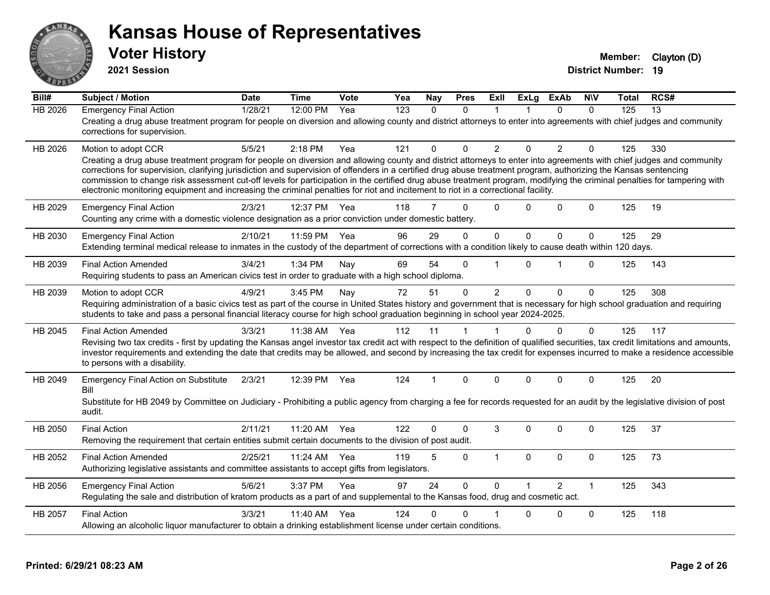

**2021 Session**

| Bill#          | <b>Subject / Motion</b>                                                                                                                                                                                                                                                                                                                                                                                                                                                                                                                                                                                                                                                         | <b>Date</b> | <b>Time</b> | Vote | Yea              | Nay      | <b>Pres</b>  | ExII           | <b>ExLg</b>          | <b>ExAb</b>   | <b>NIV</b>   | Total | RCS#            |
|----------------|---------------------------------------------------------------------------------------------------------------------------------------------------------------------------------------------------------------------------------------------------------------------------------------------------------------------------------------------------------------------------------------------------------------------------------------------------------------------------------------------------------------------------------------------------------------------------------------------------------------------------------------------------------------------------------|-------------|-------------|------|------------------|----------|--------------|----------------|----------------------|---------------|--------------|-------|-----------------|
| <b>HB 2026</b> | <b>Emergency Final Action</b><br>Creating a drug abuse treatment program for people on diversion and allowing county and district attorneys to enter into agreements with chief judges and community<br>corrections for supervision.                                                                                                                                                                                                                                                                                                                                                                                                                                            | 1/28/21     | 12:00 PM    | Yea  | $\overline{123}$ | $\Omega$ | $\Omega$     | $\mathbf 1$    |                      | $\Omega$      | $\Omega$     | 125   | $\overline{13}$ |
| HB 2026        | Motion to adopt CCR<br>Creating a drug abuse treatment program for people on diversion and allowing county and district attorneys to enter into agreements with chief judges and community<br>corrections for supervision, clarifying jurisdiction and supervision of offenders in a certified drug abuse treatment program, authorizing the Kansas sentencing<br>commission to change risk assessment cut-off levels for participation in the certified drug abuse treatment program, modifying the criminal penalties for tampering with<br>electronic monitoring equipment and increasing the criminal penalties for riot and incitement to riot in a correctional facility. | 5/5/21      | 2:18 PM     | Yea  | 121              | 0        | $\Omega$     | $\overline{2}$ | $\Omega$             | 2             | $\mathbf{0}$ | 125   | 330             |
| HB 2029        | <b>Emergency Final Action</b><br>Counting any crime with a domestic violence designation as a prior conviction under domestic battery.                                                                                                                                                                                                                                                                                                                                                                                                                                                                                                                                          | 2/3/21      | 12:37 PM    | Yea  | 118              | 7        | $\Omega$     | $\Omega$       | $\Omega$             | $\Omega$      | $\mathbf 0$  | 125   | 19              |
| HB 2030        | <b>Emergency Final Action</b><br>Extending terminal medical release to inmates in the custody of the department of corrections with a condition likely to cause death within 120 days.                                                                                                                                                                                                                                                                                                                                                                                                                                                                                          | 2/10/21     | 11:59 PM    | Yea  | 96               | 29       | $\Omega$     | $\mathbf{0}$   | $\mathbf{0}$         | $\Omega$      | 0            | 125   | 29              |
| HB 2039        | <b>Final Action Amended</b><br>Requiring students to pass an American civics test in order to graduate with a high school diploma.                                                                                                                                                                                                                                                                                                                                                                                                                                                                                                                                              | 3/4/21      | 1:34 PM     | Nav  | 69               | 54       | $\Omega$     | 1              | $\Omega$             | 1             | $\mathbf{0}$ | 125   | 143             |
| HB 2039        | Motion to adopt CCR<br>Requiring administration of a basic civics test as part of the course in United States history and government that is necessary for high school graduation and requiring<br>students to take and pass a personal financial literacy course for high school graduation beginning in school year 2024-2025.                                                                                                                                                                                                                                                                                                                                                | 4/9/21      | 3:45 PM     | Nay  | 72               | 51       | $\mathbf{0}$ | $\overline{2}$ | $\Omega$             | $\Omega$      | $\mathbf{0}$ | 125   | 308             |
| HB 2045        | <b>Final Action Amended</b><br>Revising two tax credits - first by updating the Kansas angel investor tax credit act with respect to the definition of qualified securities, tax credit limitations and amounts,<br>investor requirements and extending the date that credits may be allowed, and second by increasing the tax credit for expenses incurred to make a residence accessible<br>to persons with a disability.                                                                                                                                                                                                                                                     | 3/3/21      | 11:38 AM    | Yea  | 112              | 11       | 1            | $\mathbf 1$    | $\Omega$             | $\mathbf 0$   | $\mathbf{0}$ | 125   | 117             |
| HB 2049        | <b>Emergency Final Action on Substitute</b><br>Bill<br>Substitute for HB 2049 by Committee on Judiciary - Prohibiting a public agency from charging a fee for records requested for an audit by the legislative division of post<br>audit.                                                                                                                                                                                                                                                                                                                                                                                                                                      | 2/3/21      | 12:39 PM    | Yea  | 124              | 1        | $\Omega$     | $\Omega$       | $\Omega$             | $\Omega$      | $\mathbf{0}$ | 125   | 20              |
| HB 2050        | <b>Final Action</b><br>Removing the requirement that certain entities submit certain documents to the division of post audit.                                                                                                                                                                                                                                                                                                                                                                                                                                                                                                                                                   | 2/11/21     | 11:20 AM    | Yea  | 122              | 0        | $\Omega$     | 3              | $\Omega$             | $\Omega$      | $\Omega$     | 125   | 37              |
| HB 2052        | <b>Final Action Amended</b><br>Authorizing legislative assistants and committee assistants to accept gifts from legislators.                                                                                                                                                                                                                                                                                                                                                                                                                                                                                                                                                    | 2/25/21     | 11:24 AM    | Yea  | 119              | 5        | $\mathbf 0$  | $\mathbf{1}$   | $\mathbf 0$          | 0             | $\mathbf 0$  | 125   | 73              |
| HB 2056        | <b>Emergency Final Action</b><br>Regulating the sale and distribution of kratom products as a part of and supplemental to the Kansas food, drug and cosmetic act.                                                                                                                                                                                                                                                                                                                                                                                                                                                                                                               | 5/6/21      | 3:37 PM     | Yea  | 97               | 24       | $\Omega$     | $\Omega$       | $\blacktriangleleft$ | $\mathcal{P}$ | $\mathbf{1}$ | 125   | 343             |
| HB 2057        | <b>Final Action</b><br>Allowing an alcoholic liquor manufacturer to obtain a drinking establishment license under certain conditions.                                                                                                                                                                                                                                                                                                                                                                                                                                                                                                                                           | 3/3/21      | 11:40 AM    | Yea  | 124              | 0        | 0            |                | 0                    | 0             | 0            | 125   | 118             |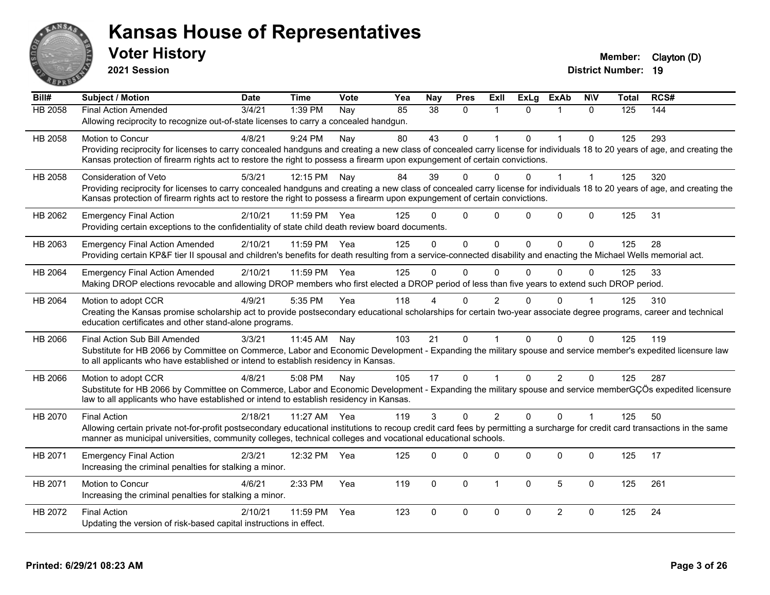

**2021 Session**

| Bill#          | <b>Subject / Motion</b>                                                                                                                                                                                                                                                                                                           | <b>Date</b> | <b>Time</b>  | <b>Vote</b> | Yea | Nay           | <b>Pres</b>  | ExII           | <b>ExLg</b> | <b>ExAb</b>    | <b>NIV</b>   | <b>Total</b> | RCS# |
|----------------|-----------------------------------------------------------------------------------------------------------------------------------------------------------------------------------------------------------------------------------------------------------------------------------------------------------------------------------|-------------|--------------|-------------|-----|---------------|--------------|----------------|-------------|----------------|--------------|--------------|------|
| <b>HB 2058</b> | <b>Final Action Amended</b><br>Allowing reciprocity to recognize out-of-state licenses to carry a concealed handgun.                                                                                                                                                                                                              | 3/4/21      | 1:39 PM      | Nay         | 85  | 38            | $\Omega$     | $\mathbf{1}$   | $\Omega$    | $\mathbf{1}$   | $\Omega$     | 125          | 144  |
| HB 2058        | Motion to Concur<br>Providing reciprocity for licenses to carry concealed handguns and creating a new class of concealed carry license for individuals 18 to 20 years of age, and creating the<br>Kansas protection of firearm rights act to restore the right to possess a firearm upon expungement of certain convictions.      | 4/8/21      | 9:24 PM      | Nay         | 80  | 43            | 0            |                | $\Omega$    | 1              | $\mathbf{0}$ | 125          | 293  |
| HB 2058        | Consideration of Veto<br>Providing reciprocity for licenses to carry concealed handguns and creating a new class of concealed carry license for individuals 18 to 20 years of age, and creating the<br>Kansas protection of firearm rights act to restore the right to possess a firearm upon expungement of certain convictions. | 5/3/21      | 12:15 PM     | Nay         | 84  | 39            | $\Omega$     | 0              | $\Omega$    | $\mathbf{1}$   | $\mathbf{1}$ | 125          | 320  |
| HB 2062        | <b>Emergency Final Action</b><br>Providing certain exceptions to the confidentiality of state child death review board documents.                                                                                                                                                                                                 | 2/10/21     | 11:59 PM     | Yea         | 125 |               | $\Omega$     | $\Omega$       | $\Omega$    | $\mathbf 0$    | $\mathbf{0}$ | 125          | 31   |
| HB 2063        | <b>Emergency Final Action Amended</b><br>Providing certain KP&F tier II spousal and children's benefits for death resulting from a service-connected disability and enacting the Michael Wells memorial act.                                                                                                                      | 2/10/21     | 11:59 PM Yea |             | 125 | $\Omega$      | $\Omega$     | $\Omega$       | $\Omega$    | $\Omega$       | $\Omega$     | 125          | 28   |
| HB 2064        | <b>Emergency Final Action Amended</b><br>Making DROP elections revocable and allowing DROP members who first elected a DROP period of less than five years to extend such DROP period.                                                                                                                                            | 2/10/21     | 11:59 PM     | Yea         | 125 | $\Omega$      | $\Omega$     | $\Omega$       | $\Omega$    | 0              | $\Omega$     | 125          | 33   |
| HB 2064        | Motion to adopt CCR<br>Creating the Kansas promise scholarship act to provide postsecondary educational scholarships for certain two-year associate degree programs, career and technical<br>education certificates and other stand-alone programs.                                                                               | 4/9/21      | 5:35 PM      | Yea         | 118 |               | $\Omega$     | $\overline{2}$ | 0           | $\Omega$       |              | 125          | 310  |
| HB 2066        | Final Action Sub Bill Amended<br>Substitute for HB 2066 by Committee on Commerce, Labor and Economic Development - Expanding the military spouse and service member's expedited licensure law<br>to all applicants who have established or intend to establish residency in Kansas.                                               | 3/3/21      | 11:45 AM     | Nay         | 103 | 21            | $\Omega$     |                | $\Omega$    | $\Omega$       | $\Omega$     | 125          | 119  |
| HB 2066        | Motion to adopt CCR<br>Substitute for HB 2066 by Committee on Commerce, Labor and Economic Development - Expanding the military spouse and service memberGÇÖs expedited licensure<br>law to all applicants who have established or intend to establish residency in Kansas.                                                       | 4/8/21      | 5:08 PM      | Nay         | 105 | 17            | $\Omega$     |                | $\Omega$    | $\overline{2}$ | $\mathbf{0}$ | 125          | 287  |
| HB 2070        | <b>Final Action</b><br>Allowing certain private not-for-profit postsecondary educational institutions to recoup credit card fees by permitting a surcharge for credit card transactions in the same<br>manner as municipal universities, community colleges, technical colleges and vocational educational schools.               | 2/18/21     | 11:27 AM     | Yea         | 119 | $\mathcal{S}$ | $\mathbf{0}$ | 2              | $\Omega$    | $\Omega$       | $\mathbf 1$  | 125          | 50   |
| HB 2071        | <b>Emergency Final Action</b><br>Increasing the criminal penalties for stalking a minor.                                                                                                                                                                                                                                          | 2/3/21      | 12:32 PM     | Yea         | 125 | $\Omega$      | $\Omega$     | $\Omega$       | $\Omega$    | $\mathbf{0}$   | $\Omega$     | 125          | 17   |
| HB 2071        | Motion to Concur<br>Increasing the criminal penalties for stalking a minor.                                                                                                                                                                                                                                                       | 4/6/21      | 2:33 PM      | Yea         | 119 | $\mathbf 0$   | $\mathbf 0$  | $\mathbf{1}$   | $\mathbf 0$ | 5              | $\mathbf 0$  | 125          | 261  |
| HB 2072        | <b>Final Action</b><br>Updating the version of risk-based capital instructions in effect.                                                                                                                                                                                                                                         | 2/10/21     | 11:59 PM     | Yea         | 123 | $\Omega$      | $\Omega$     | $\Omega$       | $\Omega$    | $\overline{2}$ | $\mathbf{0}$ | 125          | 24   |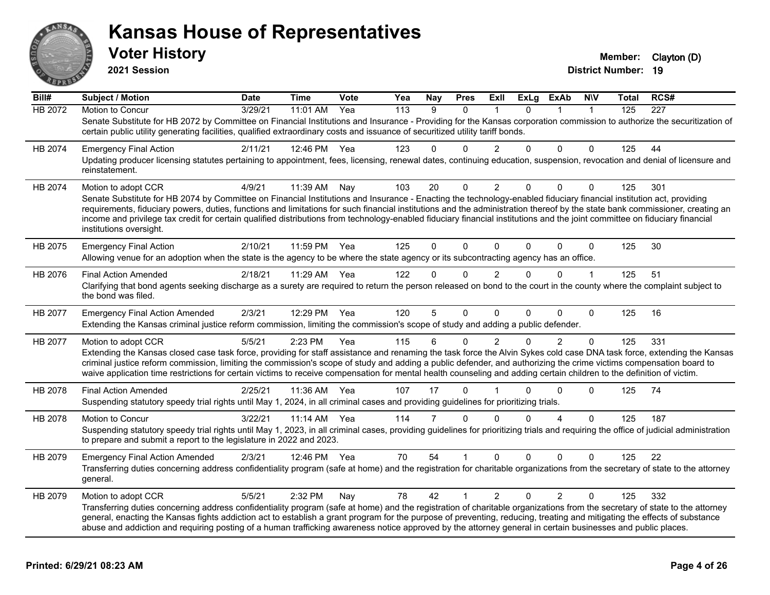

**2021 Session**

| Bill#   | <b>Subject / Motion</b>                                                                                                                                                                                                                                                                                                                                                                | <b>Date</b> | <b>Time</b> | Vote | Yea              | <b>Nay</b> | <b>Pres</b>  | ExII           | <b>ExLg</b> | ExAb           | <b>NIV</b>   | Total | RCS# |
|---------|----------------------------------------------------------------------------------------------------------------------------------------------------------------------------------------------------------------------------------------------------------------------------------------------------------------------------------------------------------------------------------------|-------------|-------------|------|------------------|------------|--------------|----------------|-------------|----------------|--------------|-------|------|
| HB 2072 | Motion to Concur                                                                                                                                                                                                                                                                                                                                                                       | 3/29/21     | 11:01 AM    | Yea  | $\overline{113}$ | 9          | 0            |                | $\Omega$    |                | $\mathbf{1}$ | 125   | 227  |
|         | Senate Substitute for HB 2072 by Committee on Financial Institutions and Insurance - Providing for the Kansas corporation commission to authorize the securitization of<br>certain public utility generating facilities, qualified extraordinary costs and issuance of securitized utility tariff bonds.                                                                               |             |             |      |                  |            |              |                |             |                |              |       |      |
| HB 2074 | <b>Emergency Final Action</b>                                                                                                                                                                                                                                                                                                                                                          | 2/11/21     | 12:46 PM    | Yea  | 123              | 0          | $\Omega$     | $\overline{2}$ | 0           | $\Omega$       | 0            | 125   | 44   |
|         | Updating producer licensing statutes pertaining to appointment, fees, licensing, renewal dates, continuing education, suspension, revocation and denial of licensure and<br>reinstatement.                                                                                                                                                                                             |             |             |      |                  |            |              |                |             |                |              |       |      |
| HB 2074 | Motion to adopt CCR                                                                                                                                                                                                                                                                                                                                                                    | 4/9/21      | 11:39 AM    | Nay  | 103              | 20         | 0            | $\overline{c}$ | $\Omega$    | 0              | 0            | 125   | 301  |
|         | Senate Substitute for HB 2074 by Committee on Financial Institutions and Insurance - Enacting the technology-enabled fiduciary financial institution act, providing                                                                                                                                                                                                                    |             |             |      |                  |            |              |                |             |                |              |       |      |
|         | requirements, fiduciary powers, duties, functions and limitations for such financial institutions and the administration thereof by the state bank commissioner, creating an<br>income and privilege tax credit for certain qualified distributions from technology-enabled fiduciary financial institutions and the joint committee on fiduciary financial<br>institutions oversight. |             |             |      |                  |            |              |                |             |                |              |       |      |
|         |                                                                                                                                                                                                                                                                                                                                                                                        | 2/10/21     | 11:59 PM    | Yea  | 125              | $\Omega$   | $\Omega$     | $\Omega$       | $\Omega$    | $\Omega$       | $\mathbf 0$  | 125   | 30   |
| HB 2075 | <b>Emergency Final Action</b><br>Allowing venue for an adoption when the state is the agency to be where the state agency or its subcontracting agency has an office.                                                                                                                                                                                                                  |             |             |      |                  |            |              |                |             |                |              |       |      |
| HB 2076 | <b>Final Action Amended</b>                                                                                                                                                                                                                                                                                                                                                            | 2/18/21     | 11:29 AM    | Yea  | 122              | 0          | $\Omega$     | $\overline{2}$ | 0           | $\Omega$       | $\mathbf 1$  | 125   | 51   |
|         | Clarifying that bond agents seeking discharge as a surety are required to return the person released on bond to the court in the county where the complaint subject to<br>the bond was filed.                                                                                                                                                                                          |             |             |      |                  |            |              |                |             |                |              |       |      |
| HB 2077 | <b>Emergency Final Action Amended</b>                                                                                                                                                                                                                                                                                                                                                  | 2/3/21      | 12:29 PM    | Yea  | 120              | 5          | $\Omega$     | $\Omega$       | $\Omega$    | $\Omega$       | 0            | 125   | 16   |
|         | Extending the Kansas criminal justice reform commission, limiting the commission's scope of study and adding a public defender.                                                                                                                                                                                                                                                        |             |             |      |                  |            |              |                |             |                |              |       |      |
| HB 2077 | Motion to adopt CCR                                                                                                                                                                                                                                                                                                                                                                    | 5/5/21      | 2:23 PM     | Yea  | 115              | 6          | 0            | 2              | $\Omega$    | $\overline{2}$ | 0            | 125   | 331  |
|         | Extending the Kansas closed case task force, providing for staff assistance and renaming the task force the Alvin Sykes cold case DNA task force, extending the Kansas                                                                                                                                                                                                                 |             |             |      |                  |            |              |                |             |                |              |       |      |
|         | criminal justice reform commission, limiting the commission's scope of study and adding a public defender, and authorizing the crime victims compensation board to<br>waive application time restrictions for certain victims to receive compensation for mental health counseling and adding certain children to the definition of victim.                                            |             |             |      |                  |            |              |                |             |                |              |       |      |
| HB 2078 | <b>Final Action Amended</b>                                                                                                                                                                                                                                                                                                                                                            | 2/25/21     | 11:36 AM    | Yea  | 107              | 17         | $\mathbf{0}$ |                | U           | 0              | 0            | 125   | 74   |
|         | Suspending statutory speedy trial rights until May 1, 2024, in all criminal cases and providing guidelines for prioritizing trials.                                                                                                                                                                                                                                                    |             |             |      |                  |            |              |                |             |                |              |       |      |
| HB 2078 | <b>Motion to Concur</b>                                                                                                                                                                                                                                                                                                                                                                | 3/22/21     | 11:14 AM    | Yea  | 114              | 7          | $\Omega$     | $\Omega$       | 0           | 4              | $\Omega$     | 125   | 187  |
|         | Suspending statutory speedy trial rights until May 1, 2023, in all criminal cases, providing guidelines for prioritizing trials and requiring the office of judicial administration                                                                                                                                                                                                    |             |             |      |                  |            |              |                |             |                |              |       |      |
|         | to prepare and submit a report to the legislature in 2022 and 2023.                                                                                                                                                                                                                                                                                                                    |             |             |      |                  |            |              |                |             |                |              |       |      |
| HB 2079 | <b>Emergency Final Action Amended</b>                                                                                                                                                                                                                                                                                                                                                  | 2/3/21      | 12:46 PM    | Yea  | 70               | 54         |              | $\Omega$       | $\Omega$    | $\Omega$       | 0            | 125   | 22   |
|         | Transferring duties concerning address confidentiality program (safe at home) and the registration for charitable organizations from the secretary of state to the attorney<br>general.                                                                                                                                                                                                |             |             |      |                  |            |              |                |             |                |              |       |      |
| HB 2079 | Motion to adopt CCR                                                                                                                                                                                                                                                                                                                                                                    | 5/5/21      | 2:32 PM     | Nay  | 78               | 42         | 1            | $\overline{2}$ | $\Omega$    | $\overline{2}$ | 0            | 125   | 332  |
|         | Transferring duties concerning address confidentiality program (safe at home) and the registration of charitable organizations from the secretary of state to the attorney                                                                                                                                                                                                             |             |             |      |                  |            |              |                |             |                |              |       |      |
|         | general, enacting the Kansas fights addiction act to establish a grant program for the purpose of preventing, reducing, treating and mitigating the effects of substance<br>abuse and addiction and requiring posting of a human trafficking awareness notice approved by the attorney general in certain businesses and public places.                                                |             |             |      |                  |            |              |                |             |                |              |       |      |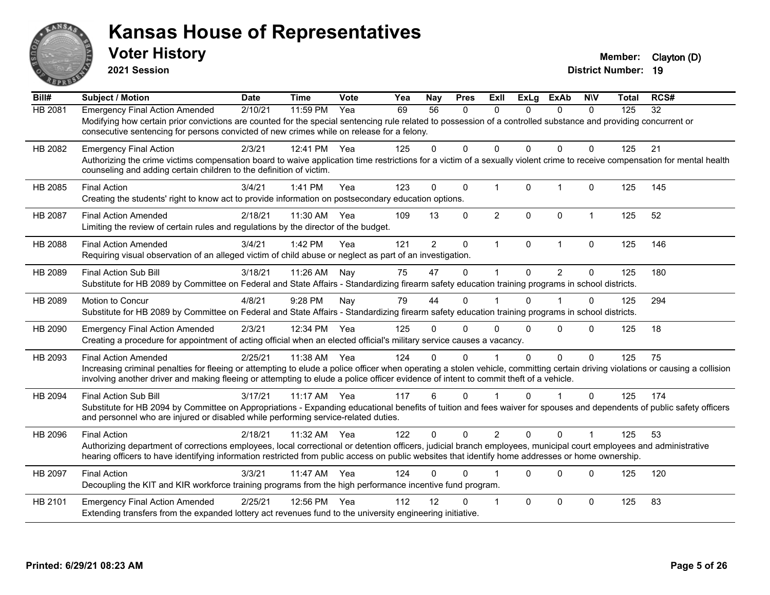

**2021 Session**

| Bill#          | <b>Subject / Motion</b>                                                                                                                                                                                                                                                                                                                                | <b>Date</b> | <b>Time</b> | Vote | Yea | Nay            | <b>Pres</b>  | ExII           | <b>ExLg</b>  | <b>ExAb</b>    | <b>NIV</b>   | <b>Total</b> | RCS# |
|----------------|--------------------------------------------------------------------------------------------------------------------------------------------------------------------------------------------------------------------------------------------------------------------------------------------------------------------------------------------------------|-------------|-------------|------|-----|----------------|--------------|----------------|--------------|----------------|--------------|--------------|------|
| <b>HB 2081</b> | <b>Emergency Final Action Amended</b><br>Modifying how certain prior convictions are counted for the special sentencing rule related to possession of a controlled substance and providing concurrent or<br>consecutive sentencing for persons convicted of new crimes while on release for a felony.                                                  | 2/10/21     | $11:59$ PM  | Yea  | 69  | 56             | $\mathbf{0}$ | $\Omega$       | $\Omega$     | $\mathbf{0}$   | $\mathbf{0}$ | 125          | 32   |
| HB 2082        | <b>Emergency Final Action</b><br>Authorizing the crime victims compensation board to waive application time restrictions for a victim of a sexually violent crime to receive compensation for mental health<br>counseling and adding certain children to the definition of victim.                                                                     | 2/3/21      | 12:41 PM    | Yea  | 125 | $\Omega$       | $\Omega$     | $\Omega$       | $\Omega$     | $\Omega$       | $\Omega$     | 125          | 21   |
| HB 2085        | <b>Final Action</b><br>Creating the students' right to know act to provide information on postsecondary education options.                                                                                                                                                                                                                             | 3/4/21      | 1:41 PM     | Yea  | 123 | $\mathbf 0$    | $\mathbf 0$  | $\mathbf{1}$   | $\mathbf{0}$ | $\overline{1}$ | $\Omega$     | 125          | 145  |
| <b>HB 2087</b> | <b>Final Action Amended</b><br>Limiting the review of certain rules and regulations by the director of the budget.                                                                                                                                                                                                                                     | 2/18/21     | 11:30 AM    | Yea  | 109 | 13             | $\Omega$     | $\overline{2}$ | $\Omega$     | $\mathbf{0}$   | $\mathbf 1$  | 125          | 52   |
| <b>HB 2088</b> | <b>Final Action Amended</b><br>Requiring visual observation of an alleged victim of child abuse or neglect as part of an investigation.                                                                                                                                                                                                                | 3/4/21      | 1:42 PM     | Yea  | 121 | $\overline{2}$ | $\Omega$     | $\mathbf{1}$   | $\mathbf{0}$ | $\overline{1}$ | $\Omega$     | 125          | 146  |
| HB 2089        | <b>Final Action Sub Bill</b><br>Substitute for HB 2089 by Committee on Federal and State Affairs - Standardizing firearm safety education training programs in school districts.                                                                                                                                                                       | 3/18/21     | 11:26 AM    | Nav  | 75  | 47             | $\Omega$     | 1              | $\Omega$     | 2              | $\Omega$     | 125          | 180  |
| HB 2089        | Motion to Concur<br>Substitute for HB 2089 by Committee on Federal and State Affairs - Standardizing firearm safety education training programs in school districts.                                                                                                                                                                                   | 4/8/21      | 9:28 PM     | Nay  | 79  | 44             | 0            |                | $\mathbf{0}$ |                | 0            | 125          | 294  |
| HB 2090        | <b>Emergency Final Action Amended</b><br>Creating a procedure for appointment of acting official when an elected official's military service causes a vacancy.                                                                                                                                                                                         | 2/3/21      | 12:34 PM    | Yea  | 125 | 0              | $\Omega$     | $\Omega$       | $\Omega$     | $\Omega$       | $\Omega$     | 125          | 18   |
| HB 2093        | <b>Final Action Amended</b><br>Increasing criminal penalties for fleeing or attempting to elude a police officer when operating a stolen vehicle, committing certain driving violations or causing a collision<br>involving another driver and making fleeing or attempting to elude a police officer evidence of intent to commit theft of a vehicle. | 2/25/21     | 11:38 AM    | Yea  | 124 | 0              | $\Omega$     |                | $\Omega$     | $\mathbf{0}$   | $\mathbf{0}$ | 125          | 75   |
| HB 2094        | <b>Final Action Sub Bill</b><br>Substitute for HB 2094 by Committee on Appropriations - Expanding educational benefits of tuition and fees waiver for spouses and dependents of public safety officers<br>and personnel who are injured or disabled while performing service-related duties.                                                           | 3/17/21     | $11:17$ AM  | Yea  | 117 | 6              | $\Omega$     | 1              | $\Omega$     |                | $\Omega$     | 125          | 174  |
| HB 2096        | <b>Final Action</b><br>Authorizing department of corrections employees, local correctional or detention officers, judicial branch employees, municipal court employees and administrative<br>hearing officers to have identifying information restricted from public access on public websites that identify home addresses or home ownership.         | 2/18/21     | 11:32 AM    | Yea  | 122 | $\mathbf{0}$   | $\Omega$     | $\overline{2}$ | $\Omega$     | $\Omega$       | 1            | 125          | 53   |
| HB 2097        | <b>Final Action</b><br>Decoupling the KIT and KIR workforce training programs from the high performance incentive fund program.                                                                                                                                                                                                                        | 3/3/21      | 11:47 AM    | Yea  | 124 | 0              | 0            |                | $\Omega$     | $\Omega$       | $\mathbf{0}$ | 125          | 120  |
| HB 2101        | <b>Emergency Final Action Amended</b><br>Extending transfers from the expanded lottery act revenues fund to the university engineering initiative.                                                                                                                                                                                                     | 2/25/21     | 12:56 PM    | Yea  | 112 | 12             | U            | 1              | $\Omega$     | $\mathbf{0}$   | $\mathbf{0}$ | 125          | 83   |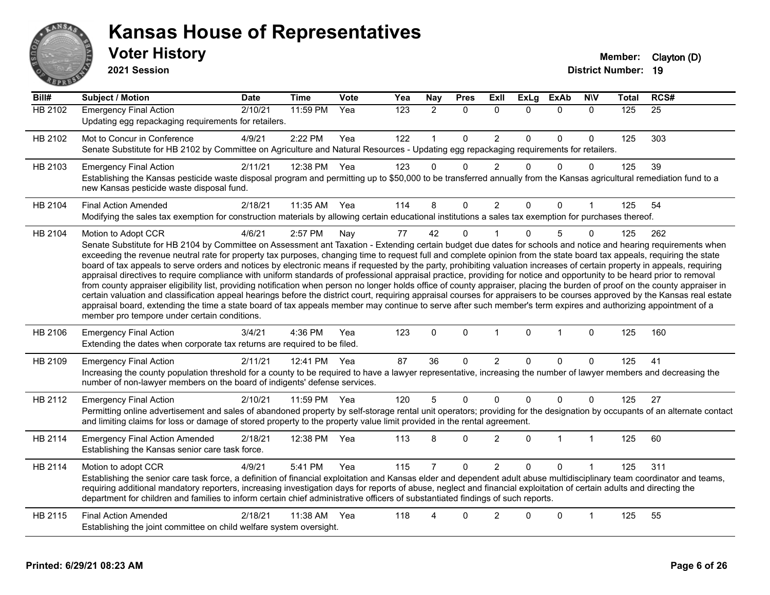

**2021 Session**

| $\overline{Bill#}$ | <b>Subject / Motion</b>                                                                                                                                                                                                                                                                                                                                                                                                                                                                                                                                                                                                                                                                                                                                                                                                                                                                                                                                                                                                                                                                                                                                                                                                                                                                                     | <b>Date</b> | <b>Time</b> | Vote | Yea | Nay            | <b>Pres</b>  | Exll           | <b>ExLg</b> | <b>ExAb</b>  | <b>NIV</b>   | <b>Total</b> | RCS# |
|--------------------|-------------------------------------------------------------------------------------------------------------------------------------------------------------------------------------------------------------------------------------------------------------------------------------------------------------------------------------------------------------------------------------------------------------------------------------------------------------------------------------------------------------------------------------------------------------------------------------------------------------------------------------------------------------------------------------------------------------------------------------------------------------------------------------------------------------------------------------------------------------------------------------------------------------------------------------------------------------------------------------------------------------------------------------------------------------------------------------------------------------------------------------------------------------------------------------------------------------------------------------------------------------------------------------------------------------|-------------|-------------|------|-----|----------------|--------------|----------------|-------------|--------------|--------------|--------------|------|
| <b>HB 2102</b>     | <b>Emergency Final Action</b><br>Updating egg repackaging requirements for retailers.                                                                                                                                                                                                                                                                                                                                                                                                                                                                                                                                                                                                                                                                                                                                                                                                                                                                                                                                                                                                                                                                                                                                                                                                                       | 2/10/21     | 11:59 PM    | Yea  | 123 | $\overline{2}$ | $\mathbf{0}$ | $\Omega$       | $\Omega$    | $\mathbf{0}$ | $\mathbf{0}$ | 125          | 25   |
| HB 2102            | Mot to Concur in Conference<br>Senate Substitute for HB 2102 by Committee on Agriculture and Natural Resources - Updating egg repackaging requirements for retailers.                                                                                                                                                                                                                                                                                                                                                                                                                                                                                                                                                                                                                                                                                                                                                                                                                                                                                                                                                                                                                                                                                                                                       | 4/9/21      | 2:22 PM     | Yea  | 122 |                | $\mathbf 0$  | $\overline{c}$ | $\Omega$    | $\mathbf 0$  | 0            | 125          | 303  |
| HB 2103            | <b>Emergency Final Action</b><br>Establishing the Kansas pesticide waste disposal program and permitting up to \$50,000 to be transferred annually from the Kansas agricultural remediation fund to a<br>new Kansas pesticide waste disposal fund.                                                                                                                                                                                                                                                                                                                                                                                                                                                                                                                                                                                                                                                                                                                                                                                                                                                                                                                                                                                                                                                          | 2/11/21     | 12:38 PM    | Yea  | 123 | $\Omega$       | $\mathbf 0$  | $\overline{2}$ | $\Omega$    | $\Omega$     | $\mathbf 0$  | 125          | 39   |
| HB 2104            | <b>Final Action Amended</b><br>Modifying the sales tax exemption for construction materials by allowing certain educational institutions a sales tax exemption for purchases thereof.                                                                                                                                                                                                                                                                                                                                                                                                                                                                                                                                                                                                                                                                                                                                                                                                                                                                                                                                                                                                                                                                                                                       | 2/18/21     | 11:35 AM    | Yea  | 114 | 8              | 0            | $\overline{2}$ | $\Omega$    | 0            |              | 125          | 54   |
| HB 2104            | Motion to Adopt CCR<br>Senate Substitute for HB 2104 by Committee on Assessment ant Taxation - Extending certain budget due dates for schools and notice and hearing requirements when<br>exceeding the revenue neutral rate for property tax purposes, changing time to request full and complete opinion from the state board tax appeals, requiring the state<br>board of tax appeals to serve orders and notices by electronic means if requested by the party, prohibiting valuation increases of certain property in appeals, requiring<br>appraisal directives to require compliance with uniform standards of professional appraisal practice, providing for notice and opportunity to be heard prior to removal<br>from county appraiser eligibility list, providing notification when person no longer holds office of county appraiser, placing the burden of proof on the county appraiser in<br>certain valuation and classification appeal hearings before the district court, requiring appraisal courses for appraisers to be courses approved by the Kansas real estate<br>appraisal board, extending the time a state board of tax appeals member may continue to serve after such member's term expires and authorizing appointment of a<br>member pro tempore under certain conditions. | 4/6/21      | 2:57 PM     | Nay  | 77  | 42             | $\mathbf 0$  |                | $\Omega$    | 5            | $\Omega$     | 125          | 262  |
| HB 2106            | <b>Emergency Final Action</b><br>Extending the dates when corporate tax returns are required to be filed.                                                                                                                                                                                                                                                                                                                                                                                                                                                                                                                                                                                                                                                                                                                                                                                                                                                                                                                                                                                                                                                                                                                                                                                                   | 3/4/21      | 4:36 PM     | Yea  | 123 | $\mathbf{0}$   | $\mathbf{0}$ | $\mathbf{1}$   | $\Omega$    | $\mathbf{1}$ | $\mathbf{0}$ | 125          | 160  |
| HB 2109            | <b>Emergency Final Action</b><br>Increasing the county population threshold for a county to be required to have a lawyer representative, increasing the number of lawyer members and decreasing the<br>number of non-lawyer members on the board of indigents' defense services.                                                                                                                                                                                                                                                                                                                                                                                                                                                                                                                                                                                                                                                                                                                                                                                                                                                                                                                                                                                                                            | 2/11/21     | 12:41 PM    | Yea  | 87  | 36             | $\Omega$     | $\overline{2}$ | $\Omega$    | $\Omega$     | $\Omega$     | 125          | 41   |
| HB 2112            | <b>Emergency Final Action</b><br>Permitting online advertisement and sales of abandoned property by self-storage rental unit operators; providing for the designation by occupants of an alternate contact<br>and limiting claims for loss or damage of stored property to the property value limit provided in the rental agreement.                                                                                                                                                                                                                                                                                                                                                                                                                                                                                                                                                                                                                                                                                                                                                                                                                                                                                                                                                                       | 2/10/21     | 11:59 PM    | Yea  | 120 | 5              | $\mathbf 0$  | 0              | $\Omega$    | $\mathbf 0$  | $\mathbf{0}$ | 125          | 27   |
| HB 2114            | <b>Emergency Final Action Amended</b><br>Establishing the Kansas senior care task force.                                                                                                                                                                                                                                                                                                                                                                                                                                                                                                                                                                                                                                                                                                                                                                                                                                                                                                                                                                                                                                                                                                                                                                                                                    | 2/18/21     | 12:38 PM    | Yea  | 113 | 8              | $\Omega$     | $\overline{2}$ | $\Omega$    | 1            | $\mathbf 1$  | 125          | 60   |
| HB 2114            | Motion to adopt CCR<br>Establishing the senior care task force, a definition of financial exploitation and Kansas elder and dependent adult abuse multidisciplinary team coordinator and teams,<br>requiring additional mandatory reporters, increasing investigation days for reports of abuse, neglect and financial exploitation of certain adults and directing the<br>department for children and families to inform certain chief administrative officers of substantiated findings of such reports.                                                                                                                                                                                                                                                                                                                                                                                                                                                                                                                                                                                                                                                                                                                                                                                                  | 4/9/21      | 5:41 PM     | Yea  | 115 | $\overline{7}$ | $\Omega$     | $\overline{2}$ | $\Omega$    | $\Omega$     |              | 125          | 311  |
| HB 2115            | <b>Final Action Amended</b><br>Establishing the joint committee on child welfare system oversight.                                                                                                                                                                                                                                                                                                                                                                                                                                                                                                                                                                                                                                                                                                                                                                                                                                                                                                                                                                                                                                                                                                                                                                                                          | 2/18/21     | 11:38 AM    | Yea  | 118 |                | 0            | $\overline{2}$ |             | $\Omega$     | 1            | 125          | 55   |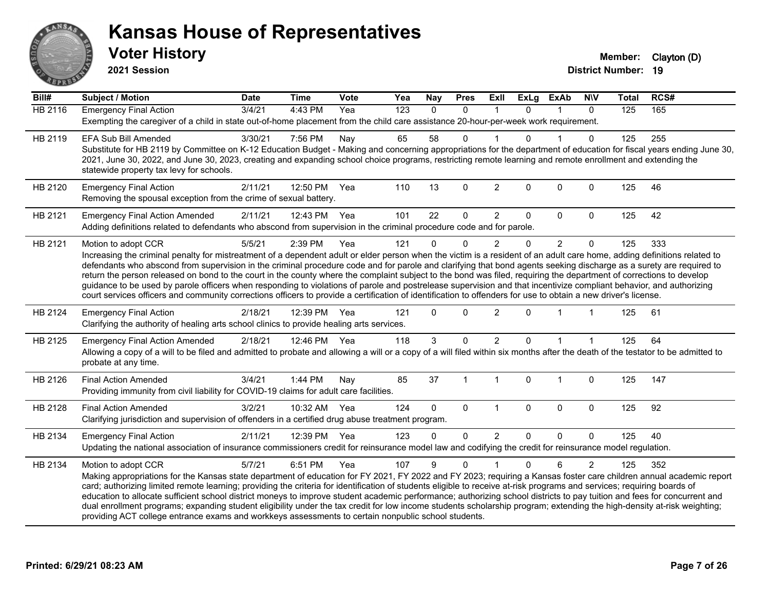

**2021 Session**

| Bill#          | <b>Subject / Motion</b>                                                                                                                                                                                                                                                                                                                                                                                                                                                                                                                                                                                                                                                                                                                                                                                                                                                                | <b>Date</b> | <b>Time</b>  | Vote | Yea              | <b>Nay</b> | <b>Pres</b>  | ExII           | <b>ExLg</b>  | <b>ExAb</b>    | <b>NIV</b>     | <b>Total</b> | RCS# |
|----------------|----------------------------------------------------------------------------------------------------------------------------------------------------------------------------------------------------------------------------------------------------------------------------------------------------------------------------------------------------------------------------------------------------------------------------------------------------------------------------------------------------------------------------------------------------------------------------------------------------------------------------------------------------------------------------------------------------------------------------------------------------------------------------------------------------------------------------------------------------------------------------------------|-------------|--------------|------|------------------|------------|--------------|----------------|--------------|----------------|----------------|--------------|------|
| <b>HB 2116</b> | <b>Emergency Final Action</b><br>Exempting the caregiver of a child in state out-of-home placement from the child care assistance 20-hour-per-week work requirement.                                                                                                                                                                                                                                                                                                                                                                                                                                                                                                                                                                                                                                                                                                                   | 3/4/21      | $4:43$ PM    | Yea  | $\overline{123}$ | $\Omega$   | $\mathbf{0}$ |                | $\Omega$     |                | $\Omega$       | 125          | 165  |
| HB 2119        | <b>EFA Sub Bill Amended</b><br>Substitute for HB 2119 by Committee on K-12 Education Budget - Making and concerning appropriations for the department of education for fiscal years ending June 30,<br>2021, June 30, 2022, and June 30, 2023, creating and expanding school choice programs, restricting remote learning and remote enrollment and extending the<br>statewide property tax levy for schools.                                                                                                                                                                                                                                                                                                                                                                                                                                                                          | 3/30/21     | 7:56 PM      | Nay  | 65               | 58         | 0            |                | U            |                | 0              | 125          | 255  |
| HB 2120        | <b>Emergency Final Action</b><br>Removing the spousal exception from the crime of sexual battery.                                                                                                                                                                                                                                                                                                                                                                                                                                                                                                                                                                                                                                                                                                                                                                                      | 2/11/21     | 12:50 PM     | Yea  | 110              | 13         | $\mathbf 0$  | $\overline{c}$ | $\mathbf 0$  | $\mathbf 0$    | $\mathbf 0$    | 125          | 46   |
| HB 2121        | <b>Emergency Final Action Amended</b><br>Adding definitions related to defendants who abscond from supervision in the criminal procedure code and for parole.                                                                                                                                                                                                                                                                                                                                                                                                                                                                                                                                                                                                                                                                                                                          | 2/11/21     | 12:43 PM Yea |      | 101              | 22         | $\mathbf 0$  | $\overline{2}$ | 0            | $\Omega$       | $\mathbf 0$    | 125          | 42   |
| HB 2121        | Motion to adopt CCR<br>Increasing the criminal penalty for mistreatment of a dependent adult or elder person when the victim is a resident of an adult care home, adding definitions related to<br>defendants who abscond from supervision in the criminal procedure code and for parole and clarifying that bond agents seeking discharge as a surety are required to<br>return the person released on bond to the court in the county where the complaint subject to the bond was filed, requiring the department of corrections to develop<br>guidance to be used by parole officers when responding to violations of parole and postrelease supervision and that incentivize compliant behavior, and authorizing<br>court services officers and community corrections officers to provide a certification of identification to offenders for use to obtain a new driver's license. | 5/5/21      | 2:39 PM      | Yea  | 121              | $\Omega$   | $\Omega$     | $\overline{2}$ | $\Omega$     | $\overline{2}$ | $\Omega$       | 125          | 333  |
| HB 2124        | <b>Emergency Final Action</b><br>Clarifying the authority of healing arts school clinics to provide healing arts services.                                                                                                                                                                                                                                                                                                                                                                                                                                                                                                                                                                                                                                                                                                                                                             | 2/18/21     | 12:39 PM     | Yea  | 121              | $\Omega$   | $\Omega$     | $\overline{2}$ | $\Omega$     |                |                | 125          | 61   |
| HB 2125        | <b>Emergency Final Action Amended</b><br>Allowing a copy of a will to be filed and admitted to probate and allowing a will or a copy of a will filed within six months after the death of the testator to be admitted to<br>probate at any time.                                                                                                                                                                                                                                                                                                                                                                                                                                                                                                                                                                                                                                       | 2/18/21     | 12:46 PM Yea |      | 118              | 3          | $\Omega$     | $\overline{2}$ | 0            |                |                | 125          | 64   |
| HB 2126        | <b>Final Action Amended</b><br>Providing immunity from civil liability for COVID-19 claims for adult care facilities.                                                                                                                                                                                                                                                                                                                                                                                                                                                                                                                                                                                                                                                                                                                                                                  | 3/4/21      | 1:44 PM      | Nay  | 85               | 37         |              | 1              | $\Omega$     | 1              | $\mathbf 0$    | 125          | 147  |
| HB 2128        | <b>Final Action Amended</b><br>Clarifying jurisdiction and supervision of offenders in a certified drug abuse treatment program.                                                                                                                                                                                                                                                                                                                                                                                                                                                                                                                                                                                                                                                                                                                                                       | 3/2/21      | 10:32 AM Yea |      | 124              | 0          | $\mathbf{0}$ | $\mathbf{1}$   | $\mathbf{0}$ | $\Omega$       | $\mathbf 0$    | 125          | 92   |
| HB 2134        | <b>Emergency Final Action</b><br>Updating the national association of insurance commissioners credit for reinsurance model law and codifying the credit for reinsurance model regulation.                                                                                                                                                                                                                                                                                                                                                                                                                                                                                                                                                                                                                                                                                              | 2/11/21     | 12:39 PM     | Yea  | 123              | $\Omega$   | $\mathbf 0$  | $\overline{2}$ | 0            | 0              | $\mathbf 0$    | 125          | 40   |
| HB 2134        | Motion to adopt CCR<br>Making appropriations for the Kansas state department of education for FY 2021, FY 2022 and FY 2023; requiring a Kansas foster care children annual academic report<br>card; authorizing limited remote learning; providing the criteria for identification of students eligible to receive at-risk programs and services; requiring boards of<br>education to allocate sufficient school district moneys to improve student academic performance; authorizing school districts to pay tuition and fees for concurrent and<br>dual enrollment programs; expanding student eligibility under the tax credit for low income students scholarship program; extending the high-density at-risk weighting;<br>providing ACT college entrance exams and workkeys assessments to certain nonpublic school students.                                                    | 5/7/21      | 6:51 PM      | Yea  | 107              | 9          | $\Omega$     |                | $\Omega$     | 6              | $\overline{2}$ | 125          | 352  |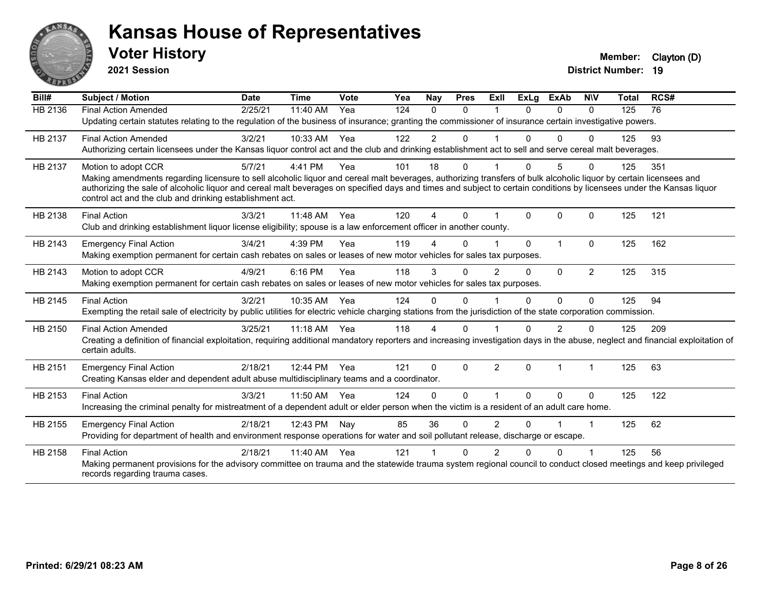

**2021 Session**

| Bill#   | Subject / Motion                                                                                                                                                                                                                  | <b>Date</b> | <b>Time</b> | <b>Vote</b> | Yea | Nay            | <b>Pres</b> | <b>Exll</b>    | <b>ExLg</b> | <b>ExAb</b>    | <b>NIV</b>     | <b>Total</b> | RCS# |
|---------|-----------------------------------------------------------------------------------------------------------------------------------------------------------------------------------------------------------------------------------|-------------|-------------|-------------|-----|----------------|-------------|----------------|-------------|----------------|----------------|--------------|------|
| HB 2136 | <b>Final Action Amended</b>                                                                                                                                                                                                       | 2/25/21     | 11:40 AM    | Yea         | 124 | $\Omega$       | $\Omega$    |                | $\Omega$    | $\Omega$       | $\Omega$       | 125          | 76   |
|         | Updating certain statutes relating to the regulation of the business of insurance; granting the commissioner of insurance certain investigative powers.                                                                           |             |             |             |     |                |             |                |             |                |                |              |      |
| HB 2137 | <b>Final Action Amended</b>                                                                                                                                                                                                       | 3/2/21      | 10:33 AM    | Yea         | 122 | 2              | 0           |                |             | $\Omega$       | O              | 125          | 93   |
|         | Authorizing certain licensees under the Kansas liquor control act and the club and drinking establishment act to sell and serve cereal malt beverages.                                                                            |             |             |             |     |                |             |                |             |                |                |              |      |
| HB 2137 | Motion to adopt CCR                                                                                                                                                                                                               | 5/7/21      | 4:41 PM     | Yea         | 101 | 18             | 0           |                | $\Omega$    | 5              | 0              | 125          | 351  |
|         | Making amendments regarding licensure to sell alcoholic liquor and cereal malt beverages, authorizing transfers of bulk alcoholic liquor by certain licensees and                                                                 |             |             |             |     |                |             |                |             |                |                |              |      |
|         | authorizing the sale of alcoholic liquor and cereal malt beverages on specified days and times and subject to certain conditions by licensees under the Kansas liquor<br>control act and the club and drinking establishment act. |             |             |             |     |                |             |                |             |                |                |              |      |
|         |                                                                                                                                                                                                                                   |             |             |             |     |                |             |                |             |                |                |              |      |
| HB 2138 | <b>Final Action</b>                                                                                                                                                                                                               | 3/3/21      | 11:48 AM    | Yea         | 120 | $\overline{A}$ | $\Omega$    |                | $\Omega$    | $\Omega$       | $\Omega$       | 125          | 121  |
|         | Club and drinking establishment liquor license eligibility; spouse is a law enforcement officer in another county.                                                                                                                |             |             |             |     |                |             |                |             |                |                |              |      |
| HB 2143 | <b>Emergency Final Action</b>                                                                                                                                                                                                     | 3/4/21      | 4:39 PM     | Yea         | 119 |                | 0           |                | $\Omega$    | $\overline{1}$ | $\Omega$       | 125          | 162  |
|         | Making exemption permanent for certain cash rebates on sales or leases of new motor vehicles for sales tax purposes.                                                                                                              |             |             |             |     |                |             |                |             |                |                |              |      |
| HB 2143 | Motion to adopt CCR                                                                                                                                                                                                               | 4/9/21      | 6:16 PM     | Yea         | 118 | 3              | $\Omega$    | 2              | $\Omega$    | $\Omega$       | $\overline{2}$ | 125          | 315  |
|         | Making exemption permanent for certain cash rebates on sales or leases of new motor vehicles for sales tax purposes.                                                                                                              |             |             |             |     |                |             |                |             |                |                |              |      |
| HB 2145 | <b>Final Action</b>                                                                                                                                                                                                               | 3/2/21      | 10:35 AM    | Yea         | 124 | $\Omega$       | $\Omega$    |                | $\Omega$    | $\Omega$       | $\Omega$       | 125          | 94   |
|         | Exempting the retail sale of electricity by public utilities for electric vehicle charging stations from the jurisdiction of the state corporation commission.                                                                    |             |             |             |     |                |             |                |             |                |                |              |      |
| HB 2150 | <b>Final Action Amended</b>                                                                                                                                                                                                       | 3/25/21     | 11:18 AM    | Yea         | 118 | 4              | 0           |                |             | 2              | 0              | 125          | 209  |
|         | Creating a definition of financial exploitation, requiring additional mandatory reporters and increasing investigation days in the abuse, neglect and financial exploitation of                                                   |             |             |             |     |                |             |                |             |                |                |              |      |
|         | certain adults.                                                                                                                                                                                                                   |             |             |             |     |                |             |                |             |                |                |              |      |
| HB 2151 | <b>Emergency Final Action</b>                                                                                                                                                                                                     | 2/18/21     | 12:44 PM    | Yea         | 121 | $\mathbf{0}$   | $\Omega$    | $\overline{2}$ | $\Omega$    | -1             | 1              | 125          | 63   |
|         | Creating Kansas elder and dependent adult abuse multidisciplinary teams and a coordinator.                                                                                                                                        |             |             |             |     |                |             |                |             |                |                |              |      |
| HB 2153 | <b>Final Action</b>                                                                                                                                                                                                               | 3/3/21      | 11:50 AM    | Yea         | 124 | $\Omega$       | $\Omega$    |                | $\Omega$    | $\Omega$       | $\mathbf{0}$   | 125          | 122  |
|         | Increasing the criminal penalty for mistreatment of a dependent adult or elder person when the victim is a resident of an adult care home.                                                                                        |             |             |             |     |                |             |                |             |                |                |              |      |
| HB 2155 | <b>Emergency Final Action</b>                                                                                                                                                                                                     | 2/18/21     | 12:43 PM    | Nay         | 85  | 36             | $\Omega$    | $\overline{2}$ | 0           |                | 1              | 125          | 62   |
|         | Providing for department of health and environment response operations for water and soil pollutant release, discharge or escape.                                                                                                 |             |             |             |     |                |             |                |             |                |                |              |      |
| HB 2158 | <b>Final Action</b>                                                                                                                                                                                                               | 2/18/21     | 11:40 AM    | Yea         | 121 |                | 0           | 2              | n           | 0              |                | 125          | 56   |
|         | Making permanent provisions for the advisory committee on trauma and the statewide trauma system regional council to conduct closed meetings and keep privileged                                                                  |             |             |             |     |                |             |                |             |                |                |              |      |
|         | records regarding trauma cases.                                                                                                                                                                                                   |             |             |             |     |                |             |                |             |                |                |              |      |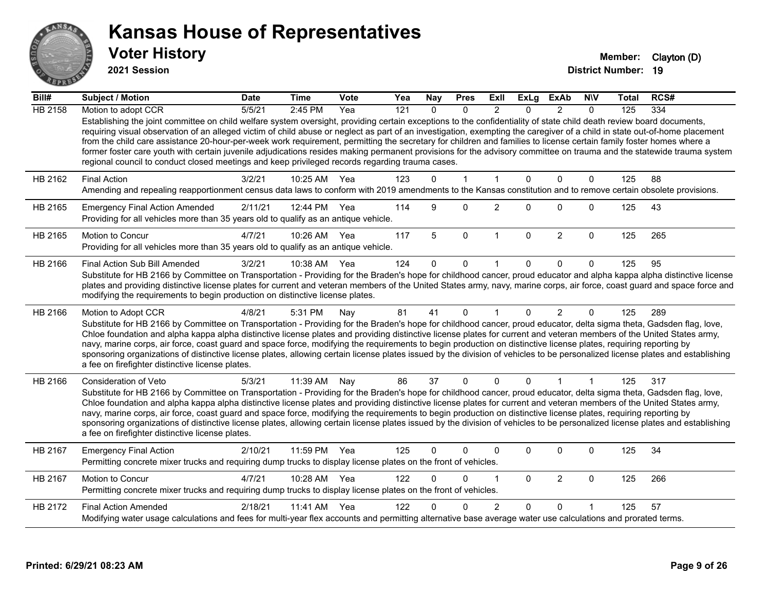

**2021 Session**

| Bill#          | <b>Subject / Motion</b>                                                                                                                                                                                                                                                                                                                                                                                                                                                                                                                                                                                                                                                                                                                                                                               | <b>Date</b> | <b>Time</b>  | <b>Vote</b> | Yea | <b>Nay</b> | <b>Pres</b>  | Exll           | <b>ExLg</b>  | <b>ExAb</b>    | <b>NIV</b>   | Total | RCS# |
|----------------|-------------------------------------------------------------------------------------------------------------------------------------------------------------------------------------------------------------------------------------------------------------------------------------------------------------------------------------------------------------------------------------------------------------------------------------------------------------------------------------------------------------------------------------------------------------------------------------------------------------------------------------------------------------------------------------------------------------------------------------------------------------------------------------------------------|-------------|--------------|-------------|-----|------------|--------------|----------------|--------------|----------------|--------------|-------|------|
| <b>HB 2158</b> | Motion to adopt CCR                                                                                                                                                                                                                                                                                                                                                                                                                                                                                                                                                                                                                                                                                                                                                                                   | 5/5/21      | 2:45 PM      | Yea         | 121 | $\Omega$   | $\Omega$     | $\mathfrak{p}$ | $\Omega$     | $\mathcal{P}$  | $\Omega$     | 125   | 334  |
|                | Establishing the joint committee on child welfare system oversight, providing certain exceptions to the confidentiality of state child death review board documents,<br>requiring visual observation of an alleged victim of child abuse or neglect as part of an investigation, exempting the caregiver of a child in state out-of-home placement<br>from the child care assistance 20-hour-per-week work requirement, permitting the secretary for children and families to license certain family foster homes where a<br>former foster care youth with certain juvenile adjudications resides making permanent provisions for the advisory committee on trauma and the statewide trauma system<br>regional council to conduct closed meetings and keep privileged records regarding trauma cases. |             |              |             |     |            |              |                |              |                |              |       |      |
| HB 2162        | <b>Final Action</b>                                                                                                                                                                                                                                                                                                                                                                                                                                                                                                                                                                                                                                                                                                                                                                                   | 3/2/21      | 10:25 AM     | Yea         | 123 | $\Omega$   | $\mathbf{1}$ | $\overline{1}$ | $\Omega$     | 0              | $\mathbf{0}$ | 125   | 88   |
|                | Amending and repealing reapportionment census data laws to conform with 2019 amendments to the Kansas constitution and to remove certain obsolete provisions.                                                                                                                                                                                                                                                                                                                                                                                                                                                                                                                                                                                                                                         |             |              |             |     |            |              |                |              |                |              |       |      |
| HB 2165        | <b>Emergency Final Action Amended</b><br>Providing for all vehicles more than 35 years old to qualify as an antique vehicle.                                                                                                                                                                                                                                                                                                                                                                                                                                                                                                                                                                                                                                                                          | 2/11/21     | 12:44 PM Yea |             | 114 | 9          | $\Omega$     | $\overline{2}$ | $\Omega$     | $\mathbf 0$    | $\mathbf 0$  | 125   | 43   |
| HB 2165        | Motion to Concur<br>Providing for all vehicles more than 35 years old to qualify as an antique vehicle.                                                                                                                                                                                                                                                                                                                                                                                                                                                                                                                                                                                                                                                                                               | 4/7/21      | 10:26 AM     | Yea         | 117 | 5          | $\mathbf 0$  | $\mathbf{1}$   | $\mathbf 0$  | $\overline{2}$ | $\mathbf 0$  | 125   | 265  |
| HB 2166        | Final Action Sub Bill Amended                                                                                                                                                                                                                                                                                                                                                                                                                                                                                                                                                                                                                                                                                                                                                                         | 3/2/21      | 10:38 AM     | Yea         | 124 | $\Omega$   | 0            |                | 0            | 0              | $\Omega$     | 125   | 95   |
|                | Substitute for HB 2166 by Committee on Transportation - Providing for the Braden's hope for childhood cancer, proud educator and alpha kappa alpha distinctive license<br>plates and providing distinctive license plates for current and veteran members of the United States army, navy, marine corps, air force, coast guard and space force and<br>modifying the requirements to begin production on distinctive license plates.                                                                                                                                                                                                                                                                                                                                                                  |             |              |             |     |            |              |                |              |                |              |       |      |
| HB 2166        | Motion to Adopt CCR                                                                                                                                                                                                                                                                                                                                                                                                                                                                                                                                                                                                                                                                                                                                                                                   | 4/8/21      | 5:31 PM      | Nav         | 81  | 41         | $\mathbf{0}$ | -1             | $\Omega$     | $\overline{2}$ | $\Omega$     | 125   | 289  |
|                | Substitute for HB 2166 by Committee on Transportation - Providing for the Braden's hope for childhood cancer, proud educator, delta sigma theta, Gadsden flag, love,<br>Chloe foundation and alpha kappa alpha distinctive license plates and providing distinctive license plates for current and veteran members of the United States army,<br>navy, marine corps, air force, coast guard and space force, modifying the requirements to begin production on distinctive license plates, requiring reporting by<br>sponsoring organizations of distinctive license plates, allowing certain license plates issued by the division of vehicles to be personalized license plates and establishing<br>a fee on firefighter distinctive license plates.                                                |             |              |             |     |            |              |                |              |                |              |       |      |
| HB 2166        | Consideration of Veto                                                                                                                                                                                                                                                                                                                                                                                                                                                                                                                                                                                                                                                                                                                                                                                 | 5/3/21      | 11:39 AM     | Nay         | 86  | 37         | $\mathbf{0}$ | $\mathbf{0}$   | $\Omega$     | $\overline{1}$ | $\mathbf{1}$ | 125   | 317  |
|                | Substitute for HB 2166 by Committee on Transportation - Providing for the Braden's hope for childhood cancer, proud educator, delta sigma theta, Gadsden flag, love,<br>Chloe foundation and alpha kappa alpha distinctive license plates and providing distinctive license plates for current and veteran members of the United States army,<br>navy, marine corps, air force, coast guard and space force, modifying the requirements to begin production on distinctive license plates, requiring reporting by<br>sponsoring organizations of distinctive license plates, allowing certain license plates issued by the division of vehicles to be personalized license plates and establishing<br>a fee on firefighter distinctive license plates.                                                |             |              |             |     |            |              |                |              |                |              |       |      |
| HB 2167        | <b>Emergency Final Action</b><br>Permitting concrete mixer trucks and requiring dump trucks to display license plates on the front of vehicles.                                                                                                                                                                                                                                                                                                                                                                                                                                                                                                                                                                                                                                                       | 2/10/21     | 11:59 PM     | Yea         | 125 | $\Omega$   | 0            | $\Omega$       | $\Omega$     | $\Omega$       | 0            | 125   | 34   |
| HB 2167        | Motion to Concur<br>Permitting concrete mixer trucks and requiring dump trucks to display license plates on the front of vehicles.                                                                                                                                                                                                                                                                                                                                                                                                                                                                                                                                                                                                                                                                    | 4/7/21      | 10:28 AM     | Yea         | 122 | $\Omega$   | 0            | 1              | $\mathbf{0}$ | $\overline{2}$ | $\mathbf 0$  | 125   | 266  |
| HB 2172        | <b>Final Action Amended</b>                                                                                                                                                                                                                                                                                                                                                                                                                                                                                                                                                                                                                                                                                                                                                                           | 2/18/21     | 11:41 AM     | Yea         | 122 |            | 0            | $\overline{2}$ | $\Omega$     | $\Omega$       |              | 125   | 57   |
|                | Modifying water usage calculations and fees for multi-year flex accounts and permitting alternative base average water use calculations and prorated terms.                                                                                                                                                                                                                                                                                                                                                                                                                                                                                                                                                                                                                                           |             |              |             |     |            |              |                |              |                |              |       |      |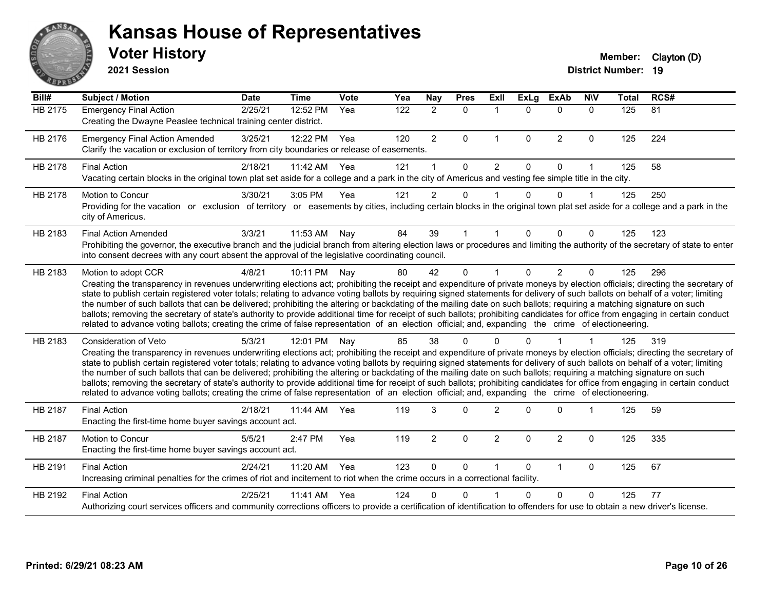

**2021 Session**

| Bill#          | <b>Subject / Motion</b>                                                                                                                                                                                                                                                                                                                                                                                                                                                                                                                                                                                                                                                                                                                                                                                                                                                                                           | <b>Date</b> | <b>Time</b> | Vote | Yea | <b>Nay</b>     | <b>Pres</b> | Exll           | <b>ExLg</b>  | <b>ExAb</b>    | <b>NIV</b>  | <b>Total</b> | RCS#            |
|----------------|-------------------------------------------------------------------------------------------------------------------------------------------------------------------------------------------------------------------------------------------------------------------------------------------------------------------------------------------------------------------------------------------------------------------------------------------------------------------------------------------------------------------------------------------------------------------------------------------------------------------------------------------------------------------------------------------------------------------------------------------------------------------------------------------------------------------------------------------------------------------------------------------------------------------|-------------|-------------|------|-----|----------------|-------------|----------------|--------------|----------------|-------------|--------------|-----------------|
| <b>HB 2175</b> | <b>Emergency Final Action</b><br>Creating the Dwayne Peaslee technical training center district.                                                                                                                                                                                                                                                                                                                                                                                                                                                                                                                                                                                                                                                                                                                                                                                                                  | 2/25/21     | 12:52 PM    | Yea  | 122 | $\overline{2}$ | $\mathbf 0$ | $\mathbf 1$    | $\Omega$     | $\mathbf 0$    | $\Omega$    | 125          | $\overline{81}$ |
| HB 2176        | <b>Emergency Final Action Amended</b><br>Clarify the vacation or exclusion of territory from city boundaries or release of easements.                                                                                                                                                                                                                                                                                                                                                                                                                                                                                                                                                                                                                                                                                                                                                                             | 3/25/21     | 12:22 PM    | Yea  | 120 | $\overline{2}$ | $\Omega$    | $\mathbf{1}$   | $\mathbf{0}$ | $\overline{2}$ | $\mathbf 0$ | 125          | 224             |
| HB 2178        | <b>Final Action</b><br>Vacating certain blocks in the original town plat set aside for a college and a park in the city of Americus and vesting fee simple title in the city.                                                                                                                                                                                                                                                                                                                                                                                                                                                                                                                                                                                                                                                                                                                                     | 2/18/21     | 11:42 AM    | Yea  | 121 |                | $\Omega$    | 2              | $\Omega$     | $\Omega$       | 1           | 125          | 58              |
| HB 2178        | <b>Motion to Concur</b><br>Providing for the vacation or exclusion of territory or easements by cities, including certain blocks in the original town plat set aside for a college and a park in the<br>city of Americus.                                                                                                                                                                                                                                                                                                                                                                                                                                                                                                                                                                                                                                                                                         | 3/30/21     | 3:05 PM     | Yea  | 121 | $\overline{2}$ | 0           |                | $\Omega$     | $\Omega$       | 1           | 125          | 250             |
| HB 2183        | <b>Final Action Amended</b><br>Prohibiting the governor, the executive branch and the judicial branch from altering election laws or procedures and limiting the authority of the secretary of state to enter<br>into consent decrees with any court absent the approval of the legislative coordinating council.                                                                                                                                                                                                                                                                                                                                                                                                                                                                                                                                                                                                 | 3/3/21      | 11:53 AM    | Nay  | 84  | 39             |             |                | $\Omega$     | $\Omega$       | 0           | 125          | 123             |
| HB 2183        | Motion to adopt CCR<br>Creating the transparency in revenues underwriting elections act; prohibiting the receipt and expenditure of private moneys by election officials; directing the secretary of<br>state to publish certain registered voter totals; relating to advance voting ballots by requiring signed statements for delivery of such ballots on behalf of a voter; limiting<br>the number of such ballots that can be delivered; prohibiting the altering or backdating of the mailing date on such ballots; requiring a matching signature on such<br>ballots; removing the secretary of state's authority to provide additional time for receipt of such ballots; prohibiting candidates for office from engaging in certain conduct<br>related to advance voting ballots; creating the crime of false representation of an election official; and, expanding the crime of electioneering.          | 4/8/21      | 10:11 PM    | Nay  | 80  | 42             | $\Omega$    |                | $\Omega$     | $\overline{2}$ | 0           | 125          | 296             |
| HB 2183        | <b>Consideration of Veto</b><br>Creating the transparency in revenues underwriting elections act; prohibiting the receipt and expenditure of private moneys by election officials; directing the secretary of<br>state to publish certain registered voter totals; relating to advance voting ballots by requiring signed statements for delivery of such ballots on behalf of a voter; limiting<br>the number of such ballots that can be delivered; prohibiting the altering or backdating of the mailing date on such ballots; requiring a matching signature on such<br>ballots; removing the secretary of state's authority to provide additional time for receipt of such ballots; prohibiting candidates for office from engaging in certain conduct<br>related to advance voting ballots; creating the crime of false representation of an election official; and, expanding the crime of electioneering. | 5/3/21      | 12:01 PM    | Nay  | 85  | 38             | 0           |                |              |                |             | 125          | 319             |
| HB 2187        | <b>Final Action</b><br>Enacting the first-time home buyer savings account act.                                                                                                                                                                                                                                                                                                                                                                                                                                                                                                                                                                                                                                                                                                                                                                                                                                    | 2/18/21     | 11:44 AM    | Yea  | 119 | 3              | $\Omega$    | $\overline{2}$ | ∩            | $\Omega$       | 1           | 125          | 59              |
| HB 2187        | Motion to Concur<br>Enacting the first-time home buyer savings account act.                                                                                                                                                                                                                                                                                                                                                                                                                                                                                                                                                                                                                                                                                                                                                                                                                                       | 5/5/21      | 2:47 PM     | Yea  | 119 | $\overline{2}$ | $\Omega$    | $\overline{2}$ | $\Omega$     | $\overline{2}$ | 0           | 125          | 335             |
| HB 2191        | <b>Final Action</b><br>Increasing criminal penalties for the crimes of riot and incitement to riot when the crime occurs in a correctional facility.                                                                                                                                                                                                                                                                                                                                                                                                                                                                                                                                                                                                                                                                                                                                                              | 2/24/21     | 11:20 AM    | Yea  | 123 | $\mathbf{0}$   | $\Omega$    |                | $\Omega$     | $\mathbf{1}$   | $\Omega$    | 125          | 67              |
| HB 2192        | <b>Final Action</b><br>Authorizing court services officers and community corrections officers to provide a certification of identification to offenders for use to obtain a new driver's license.                                                                                                                                                                                                                                                                                                                                                                                                                                                                                                                                                                                                                                                                                                                 | 2/25/21     | 11:41 AM    | Yea  | 124 | 0              | 0           |                | U            | $\Omega$       | 0           | 125          | 77              |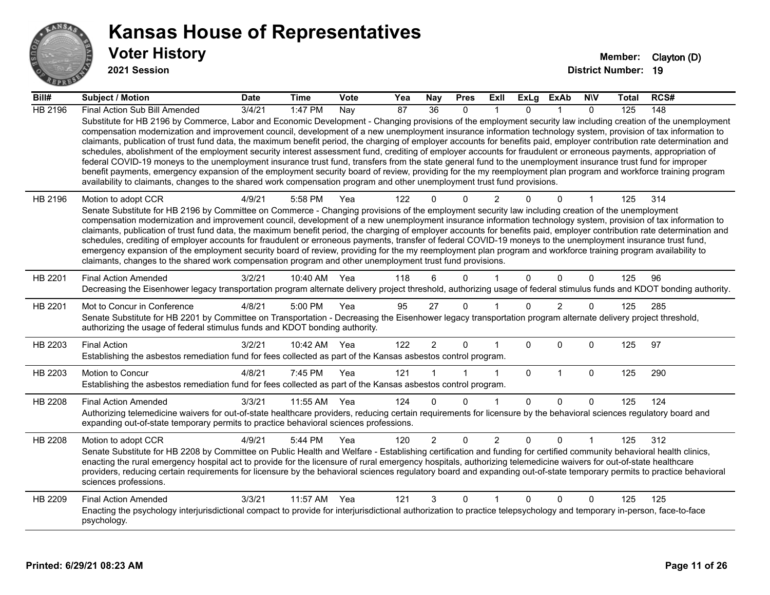

**2021 Session**

| Bill#          | Subject / Motion                                                                                                                                                                                                                                                                                                                                                                                                                                                                                                                                                                                                                                                                                                                                                                                                                                                                                                                                                                                                                                                                                                                                  | <b>Date</b> | Time         | Vote | Yea | <b>Nay</b>      | <b>Pres</b>  | Exll           | <b>ExLg</b> | <b>ExAb</b>    | <b>NIV</b>   | <b>Total</b> | RCS# |
|----------------|---------------------------------------------------------------------------------------------------------------------------------------------------------------------------------------------------------------------------------------------------------------------------------------------------------------------------------------------------------------------------------------------------------------------------------------------------------------------------------------------------------------------------------------------------------------------------------------------------------------------------------------------------------------------------------------------------------------------------------------------------------------------------------------------------------------------------------------------------------------------------------------------------------------------------------------------------------------------------------------------------------------------------------------------------------------------------------------------------------------------------------------------------|-------------|--------------|------|-----|-----------------|--------------|----------------|-------------|----------------|--------------|--------------|------|
| <b>HB 2196</b> | Final Action Sub Bill Amended                                                                                                                                                                                                                                                                                                                                                                                                                                                                                                                                                                                                                                                                                                                                                                                                                                                                                                                                                                                                                                                                                                                     | 3/4/21      | 1:47 PM      | Nay  | 87  | $\overline{36}$ | $\mathbf{0}$ |                | 0           |                | $\mathbf{0}$ | 125          | 148  |
|                | Substitute for HB 2196 by Commerce, Labor and Economic Development - Changing provisions of the employment security law including creation of the unemployment<br>compensation modernization and improvement council, development of a new unemployment insurance information technology system, provision of tax information to<br>claimants, publication of trust fund data, the maximum benefit period, the charging of employer accounts for benefits paid, employer contribution rate determination and<br>schedules, abolishment of the employment security interest assessment fund, crediting of employer accounts for fraudulent or erroneous payments, appropriation of<br>federal COVID-19 moneys to the unemployment insurance trust fund, transfers from the state general fund to the unemployment insurance trust fund for improper<br>benefit payments, emergency expansion of the employment security board of review, providing for the my reemployment plan program and workforce training program<br>availability to claimants, changes to the shared work compensation program and other unemployment trust fund provisions. |             |              |      |     |                 |              |                |             |                |              |              |      |
| HB 2196        | Motion to adopt CCR                                                                                                                                                                                                                                                                                                                                                                                                                                                                                                                                                                                                                                                                                                                                                                                                                                                                                                                                                                                                                                                                                                                               | 4/9/21      | 5:58 PM      | Yea  | 122 |                 | 0            | $\overline{2}$ |             | 0              |              | 125          | 314  |
|                | Senate Substitute for HB 2196 by Committee on Commerce - Changing provisions of the employment security law including creation of the unemployment<br>compensation modernization and improvement council, development of a new unemployment insurance information technology system, provision of tax information to<br>claimants, publication of trust fund data, the maximum benefit period, the charging of employer accounts for benefits paid, employer contribution rate determination and<br>schedules, crediting of employer accounts for fraudulent or erroneous payments, transfer of federal COVID-19 moneys to the unemployment insurance trust fund,<br>emergency expansion of the employment security board of review, providing for the my reemployment plan program and workforce training program availability to<br>claimants, changes to the shared work compensation program and other unemployment trust fund provisions.                                                                                                                                                                                                    |             |              |      |     |                 |              |                |             |                |              |              |      |
| HB 2201        | <b>Final Action Amended</b><br>Decreasing the Eisenhower legacy transportation program alternate delivery project threshold, authorizing usage of federal stimulus funds and KDOT bonding authority.                                                                                                                                                                                                                                                                                                                                                                                                                                                                                                                                                                                                                                                                                                                                                                                                                                                                                                                                              | 3/2/21      | 10:40 AM     | Yea  | 118 |                 | $\Omega$     |                | $\Omega$    | $\Omega$       | $\Omega$     | 125          | 96   |
| HB 2201        | Mot to Concur in Conference<br>Senate Substitute for HB 2201 by Committee on Transportation - Decreasing the Eisenhower legacy transportation program alternate delivery project threshold,<br>authorizing the usage of federal stimulus funds and KDOT bonding authority.                                                                                                                                                                                                                                                                                                                                                                                                                                                                                                                                                                                                                                                                                                                                                                                                                                                                        | 4/8/21      | 5:00 PM      | Yea  | 95  | 27              | $\mathbf 0$  |                | $\Omega$    | $\overline{2}$ | 0            | 125          | 285  |
| HB 2203        | <b>Final Action</b><br>Establishing the asbestos remediation fund for fees collected as part of the Kansas asbestos control program.                                                                                                                                                                                                                                                                                                                                                                                                                                                                                                                                                                                                                                                                                                                                                                                                                                                                                                                                                                                                              | 3/2/21      | 10:42 AM Yea |      | 122 | $\overline{2}$  | $\mathbf 0$  |                | $\Omega$    | $\Omega$       | $\Omega$     | 125          | 97   |
| HB 2203        | Motion to Concur<br>Establishing the asbestos remediation fund for fees collected as part of the Kansas asbestos control program.                                                                                                                                                                                                                                                                                                                                                                                                                                                                                                                                                                                                                                                                                                                                                                                                                                                                                                                                                                                                                 | 4/8/21      | 7:45 PM      | Yea  | 121 |                 |              | $\mathbf{1}$   | $\mathbf 0$ | $\mathbf{1}$   | 0            | 125          | 290  |
| HB 2208        | <b>Final Action Amended</b>                                                                                                                                                                                                                                                                                                                                                                                                                                                                                                                                                                                                                                                                                                                                                                                                                                                                                                                                                                                                                                                                                                                       | 3/3/21      | 11:55 AM     | Yea  | 124 | $\Omega$        | $\Omega$     | $\mathbf{1}$   | $\Omega$    | $\Omega$       | $\mathbf{0}$ | 125          | 124  |
|                | Authorizing telemedicine waivers for out-of-state healthcare providers, reducing certain requirements for licensure by the behavioral sciences regulatory board and<br>expanding out-of-state temporary permits to practice behavioral sciences professions.                                                                                                                                                                                                                                                                                                                                                                                                                                                                                                                                                                                                                                                                                                                                                                                                                                                                                      |             |              |      |     |                 |              |                |             |                |              |              |      |
| HB 2208        | Motion to adopt CCR<br>Senate Substitute for HB 2208 by Committee on Public Health and Welfare - Establishing certification and funding for certified community behavioral health clinics,<br>enacting the rural emergency hospital act to provide for the licensure of rural emergency hospitals, authorizing telemedicine waivers for out-of-state healthcare<br>providers, reducing certain requirements for licensure by the behavioral sciences regulatory board and expanding out-of-state temporary permits to practice behavioral<br>sciences professions.                                                                                                                                                                                                                                                                                                                                                                                                                                                                                                                                                                                | 4/9/21      | 5:44 PM      | Yea  | 120 | $\overline{2}$  | $\mathbf 0$  | $\overline{2}$ | 0           | 0              |              | 125          | 312  |
| HB 2209        | <b>Final Action Amended</b><br>Enacting the psychology interjurisdictional compact to provide for interjurisdictional authorization to practice telepsychology and temporary in-person, face-to-face<br>psychology.                                                                                                                                                                                                                                                                                                                                                                                                                                                                                                                                                                                                                                                                                                                                                                                                                                                                                                                               | 3/3/21      | 11:57 AM     | Yea  | 121 | 3               | 0            |                | 0           | $\Omega$       | 0            | 125          | 125  |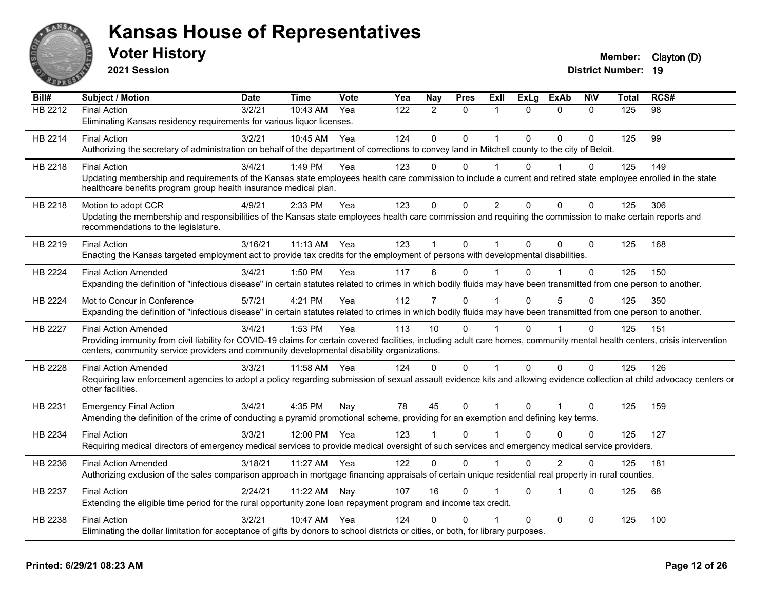

**2021 Session**

| Bill#   | <b>Subject / Motion</b>                                                                                                                                                      | <b>Date</b> | <b>Time</b> | <b>Vote</b> | Yea | Nay            | <b>Pres</b>  | Exll           | <b>ExLg</b> | <b>ExAb</b>    | <b>NIV</b>  | Total | RCS# |
|---------|------------------------------------------------------------------------------------------------------------------------------------------------------------------------------|-------------|-------------|-------------|-----|----------------|--------------|----------------|-------------|----------------|-------------|-------|------|
| HB 2212 | <b>Final Action</b>                                                                                                                                                          | 3/2/21      | 10:43 AM    | Yea         | 122 | $\overline{2}$ | $\mathbf{0}$ | 1              | $\Omega$    | $\mathbf{0}$   | $\Omega$    | 125   | 98   |
|         | Eliminating Kansas residency requirements for various liquor licenses.                                                                                                       |             |             |             |     |                |              |                |             |                |             |       |      |
| HB 2214 | <b>Final Action</b>                                                                                                                                                          | 3/2/21      | 10:45 AM    | Yea         | 124 | $\Omega$       | $\Omega$     | 1              | $\Omega$    | $\Omega$       | $\Omega$    | 125   | 99   |
|         | Authorizing the secretary of administration on behalf of the department of corrections to convey land in Mitchell county to the city of Beloit.                              |             |             |             |     |                |              |                |             |                |             |       |      |
| HB 2218 | <b>Final Action</b>                                                                                                                                                          | 3/4/21      | 1:49 PM     | Yea         | 123 | $\Omega$       | $\mathbf{0}$ |                | $\Omega$    |                | $\Omega$    | 125   | 149  |
|         | Updating membership and requirements of the Kansas state employees health care commission to include a current and retired state employee enrolled in the state              |             |             |             |     |                |              |                |             |                |             |       |      |
|         | healthcare benefits program group health insurance medical plan.                                                                                                             |             |             |             |     |                |              |                |             |                |             |       |      |
| HB 2218 | Motion to adopt CCR                                                                                                                                                          | 4/9/21      | 2:33 PM     | Yea         | 123 | $\pmb{0}$      | $\mathbf{0}$ | $\overline{2}$ | $\Omega$    | $\mathbf 0$    | $\mathbf 0$ | 125   | 306  |
|         | Updating the membership and responsibilities of the Kansas state employees health care commission and requiring the commission to make certain reports and                   |             |             |             |     |                |              |                |             |                |             |       |      |
|         | recommendations to the legislature.                                                                                                                                          |             |             |             |     |                |              |                |             |                |             |       |      |
| HB 2219 | <b>Final Action</b>                                                                                                                                                          | 3/16/21     | 11:13 AM    | Yea         | 123 |                | $\mathbf 0$  |                | $\Omega$    | $\Omega$       | $\Omega$    | 125   | 168  |
|         | Enacting the Kansas targeted employment act to provide tax credits for the employment of persons with developmental disabilities.                                            |             |             |             |     |                |              |                |             |                |             |       |      |
| HB 2224 | <b>Final Action Amended</b>                                                                                                                                                  | 3/4/21      | 1:50 PM     | Yea         | 117 | 6              | $\mathbf 0$  |                | $\Omega$    |                | 0           | 125   | 150  |
|         | Expanding the definition of "infectious disease" in certain statutes related to crimes in which bodily fluids may have been transmitted from one person to another.          |             |             |             |     |                |              |                |             |                |             |       |      |
| HB 2224 | Mot to Concur in Conference                                                                                                                                                  | 5/7/21      | 4:21 PM     | Yea         | 112 | 7              | $\Omega$     |                | $\Omega$    | 5              | $\Omega$    | 125   | 350  |
|         | Expanding the definition of "infectious disease" in certain statutes related to crimes in which bodily fluids may have been transmitted from one person to another.          |             |             |             |     |                |              |                |             |                |             |       |      |
| HB 2227 | <b>Final Action Amended</b>                                                                                                                                                  | 3/4/21      | 1:53 PM     | Yea         | 113 | 10             | $\Omega$     |                | $\Omega$    |                | $\mathbf 0$ | 125   | 151  |
|         | Providing immunity from civil liability for COVID-19 claims for certain covered facilities, including adult care homes, community mental health centers, crisis intervention |             |             |             |     |                |              |                |             |                |             |       |      |
|         | centers, community service providers and community developmental disability organizations.                                                                                   |             |             |             |     |                |              |                |             |                |             |       |      |
| HB 2228 | <b>Final Action Amended</b>                                                                                                                                                  | 3/3/21      | 11:58 AM    | Yea         | 124 | $\Omega$       | $\mathbf{0}$ | 1              | $\Omega$    | $\mathbf{0}$   | $\Omega$    | 125   | 126  |
|         | Requiring law enforcement agencies to adopt a policy regarding submission of sexual assault evidence kits and allowing evidence collection at child advocacy centers or      |             |             |             |     |                |              |                |             |                |             |       |      |
|         | other facilities.                                                                                                                                                            |             |             |             |     |                |              |                |             |                |             |       |      |
| HB 2231 | <b>Emergency Final Action</b>                                                                                                                                                | 3/4/21      | 4:35 PM     | Nay         | 78  | 45             | $\mathbf 0$  | 1              | $\Omega$    |                | $\Omega$    | 125   | 159  |
|         | Amending the definition of the crime of conducting a pyramid promotional scheme, providing for an exemption and defining key terms.                                          |             |             |             |     |                |              |                |             |                |             |       |      |
| HB 2234 | <b>Final Action</b>                                                                                                                                                          | 3/3/21      | 12:00 PM    | Yea         | 123 |                | $\Omega$     |                | $\Omega$    | $\Omega$       | $\Omega$    | 125   | 127  |
|         | Requiring medical directors of emergency medical services to provide medical oversight of such services and emergency medical service providers.                             |             |             |             |     |                |              |                |             |                |             |       |      |
| HB 2236 | <b>Final Action Amended</b>                                                                                                                                                  | 3/18/21     | 11:27 AM    | Yea         | 122 | $\Omega$       | $\Omega$     |                | $\Omega$    | $\overline{2}$ | $\Omega$    | 125   | 181  |
|         | Authorizing exclusion of the sales comparison approach in mortgage financing appraisals of certain unique residential real property in rural counties.                       |             |             |             |     |                |              |                |             |                |             |       |      |
|         |                                                                                                                                                                              |             |             |             |     |                |              |                |             |                |             |       |      |
| HB 2237 | <b>Final Action</b><br>Extending the eligible time period for the rural opportunity zone loan repayment program and income tax credit.                                       | 2/24/21     | 11:22 AM    | Nay         | 107 | 16             | $\Omega$     |                | $\Omega$    | -1             | $\Omega$    | 125   | 68   |
|         |                                                                                                                                                                              |             |             |             |     |                |              |                |             |                |             |       |      |
| HB 2238 | <b>Final Action</b>                                                                                                                                                          | 3/2/21      | 10:47 AM    | Yea         | 124 | 0              | $\Omega$     |                | $\Omega$    | $\mathbf 0$    | $\Omega$    | 125   | 100  |
|         | Eliminating the dollar limitation for acceptance of gifts by donors to school districts or cities, or both, for library purposes.                                            |             |             |             |     |                |              |                |             |                |             |       |      |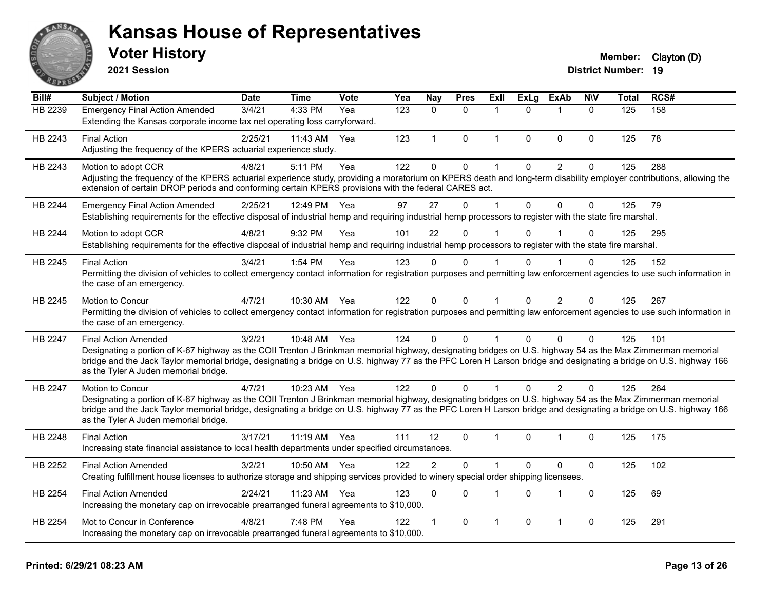

**2021 Session**

#### **Voter History Member:** Clayton (D)

| Bill#          | <b>Subject / Motion</b>                                                                                                                                                                                                                                                                                                                                                                                  | <b>Date</b> | <b>Time</b>  | Vote | Yea              | <b>Nay</b>     | <b>Pres</b>  | Exll         | <b>ExLg</b>  | <b>ExAb</b>    | <b>NIV</b>   | <b>Total</b> | RCS# |
|----------------|----------------------------------------------------------------------------------------------------------------------------------------------------------------------------------------------------------------------------------------------------------------------------------------------------------------------------------------------------------------------------------------------------------|-------------|--------------|------|------------------|----------------|--------------|--------------|--------------|----------------|--------------|--------------|------|
| <b>HB 2239</b> | <b>Emergency Final Action Amended</b><br>Extending the Kansas corporate income tax net operating loss carryforward.                                                                                                                                                                                                                                                                                      | 3/4/21      | 4:33 PM      | Yea  | $\overline{123}$ | $\mathbf{0}$   | $\mathbf{0}$ | 1            | $\Omega$     | 1              | $\mathbf{0}$ | 125          | 158  |
| HB 2243        | <b>Final Action</b><br>Adjusting the frequency of the KPERS actuarial experience study.                                                                                                                                                                                                                                                                                                                  | 2/25/21     | 11:43 AM     | Yea  | 123              | $\mathbf{1}$   | $\mathbf{0}$ | $\mathbf 1$  | $\Omega$     | $\mathbf{0}$   | $\Omega$     | 125          | 78   |
| HB 2243        | Motion to adopt CCR<br>Adjusting the frequency of the KPERS actuarial experience study, providing a moratorium on KPERS death and long-term disability employer contributions, allowing the<br>extension of certain DROP periods and conforming certain KPERS provisions with the federal CARES act.                                                                                                     | 4/8/21      | 5:11 PM      | Yea  | 122              | $\mathbf{0}$   | $\mathbf 0$  | 1            | $\mathbf{0}$ | $\overline{2}$ | $\mathbf 0$  | 125          | 288  |
| HB 2244        | <b>Emergency Final Action Amended</b><br>Establishing requirements for the effective disposal of industrial hemp and requiring industrial hemp processors to register with the state fire marshal.                                                                                                                                                                                                       | 2/25/21     | 12:49 PM     | Yea  | 97               | 27             | $\mathbf{0}$ | 1            | $\mathbf{0}$ | $\mathbf{0}$   | $\mathbf{0}$ | 125          | 79   |
| HB 2244        | Motion to adopt CCR<br>Establishing requirements for the effective disposal of industrial hemp and requiring industrial hemp processors to register with the state fire marshal.                                                                                                                                                                                                                         | 4/8/21      | 9:32 PM      | Yea  | 101              | 22             | $\Omega$     |              | 0            |                | $\Omega$     | 125          | 295  |
| HB 2245        | <b>Final Action</b><br>Permitting the division of vehicles to collect emergency contact information for registration purposes and permitting law enforcement agencies to use such information in<br>the case of an emergency.                                                                                                                                                                            | 3/4/21      | 1:54 PM      | Yea  | 123              | $\Omega$       | 0            |              | <sup>n</sup> |                | $\mathbf{0}$ | 125          | 152  |
| HB 2245        | Motion to Concur<br>Permitting the division of vehicles to collect emergency contact information for registration purposes and permitting law enforcement agencies to use such information in<br>the case of an emergency.                                                                                                                                                                               | 4/7/21      | 10:30 AM     | Yea  | 122              | $\mathbf{0}$   | $\mathbf{0}$ | $\mathbf{1}$ | $\Omega$     | $\overline{2}$ | $\mathbf{0}$ | 125          | 267  |
| HB 2247        | <b>Final Action Amended</b><br>Designating a portion of K-67 highway as the COII Trenton J Brinkman memorial highway, designating bridges on U.S. highway 54 as the Max Zimmerman memorial<br>bridge and the Jack Taylor memorial bridge, designating a bridge on U.S. highway 77 as the PFC Loren H Larson bridge and designating a bridge on U.S. highway 166<br>as the Tyler A Juden memorial bridge. | 3/2/21      | 10:48 AM Yea |      | 124              | $\Omega$       | $\mathbf{0}$ |              | 0            | $\mathbf{0}$   | $\Omega$     | 125          | 101  |
| HB 2247        | Motion to Concur<br>Designating a portion of K-67 highway as the COII Trenton J Brinkman memorial highway, designating bridges on U.S. highway 54 as the Max Zimmerman memorial<br>bridge and the Jack Taylor memorial bridge, designating a bridge on U.S. highway 77 as the PFC Loren H Larson bridge and designating a bridge on U.S. highway 166<br>as the Tyler A Juden memorial bridge.            | 4/7/21      | 10:23 AM Yea |      | 122              | $\Omega$       | $\Omega$     |              | 0            | 2              | $\mathbf{0}$ | 125          | 264  |
| HB 2248        | <b>Final Action</b><br>Increasing state financial assistance to local health departments under specified circumstances.                                                                                                                                                                                                                                                                                  | 3/17/21     | 11:19 AM Yea |      | 111              | 12             | $\Omega$     | 1            | <sup>0</sup> | 1              | $\mathbf{0}$ | 125          | 175  |
| HB 2252        | <b>Final Action Amended</b><br>Creating fulfillment house licenses to authorize storage and shipping services provided to winery special order shipping licensees.                                                                                                                                                                                                                                       | 3/2/21      | 10:50 AM     | Yea  | 122              | $\overline{2}$ | $\Omega$     | 1            | $\Omega$     | $\mathbf{0}$   | $\Omega$     | 125          | 102  |
| HB 2254        | <b>Final Action Amended</b><br>Increasing the monetary cap on irrevocable prearranged funeral agreements to \$10,000.                                                                                                                                                                                                                                                                                    | 2/24/21     | 11:23 AM     | Yea  | 123              | $\Omega$       | $\mathbf{0}$ | 1            | $\Omega$     | 1              | $\Omega$     | 125          | 69   |
| HB 2254        | Mot to Concur in Conference<br>Increasing the monetary cap on irrevocable prearranged funeral agreements to \$10,000.                                                                                                                                                                                                                                                                                    | 4/8/21      | 7:48 PM      | Yea  | 122              |                | $\Omega$     | 1            | 0            | $\overline{1}$ | $\mathbf 0$  | 125          | 291  |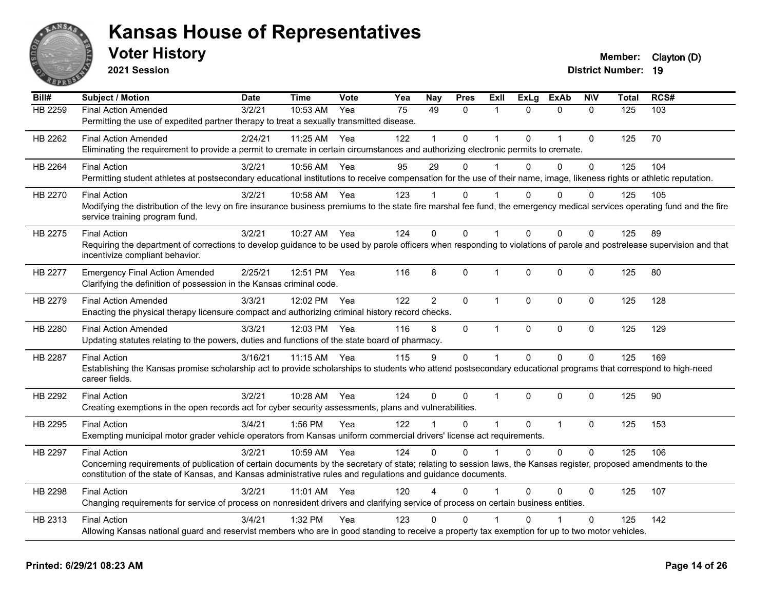

**2021 Session**

| Bill#          | <b>Subject / Motion</b>                                                                                                                                                                                                                                                          | <b>Date</b> | <b>Time</b> | <b>Vote</b> | Yea             | <b>Nay</b>     | <b>Pres</b>  | Exll           | <b>ExLg</b>  | <b>ExAb</b>    | <b>NIV</b>   | Total | RCS# |
|----------------|----------------------------------------------------------------------------------------------------------------------------------------------------------------------------------------------------------------------------------------------------------------------------------|-------------|-------------|-------------|-----------------|----------------|--------------|----------------|--------------|----------------|--------------|-------|------|
| <b>HB 2259</b> | <b>Final Action Amended</b>                                                                                                                                                                                                                                                      | 3/2/21      | 10:53 AM    | Yea         | $\overline{75}$ | 49             | $\mathbf{0}$ | 1              | $\Omega$     | $\mathbf{0}$   | $\mathbf{0}$ | 125   | 103  |
|                | Permitting the use of expedited partner therapy to treat a sexually transmitted disease.                                                                                                                                                                                         |             |             |             |                 |                |              |                |              |                |              |       |      |
| HB 2262        | <b>Final Action Amended</b>                                                                                                                                                                                                                                                      | 2/24/21     | 11:25 AM    | Yea         | 122             |                | $\Omega$     | $\overline{1}$ | $\Omega$     | $\overline{1}$ | $\Omega$     | 125   | 70   |
|                | Eliminating the requirement to provide a permit to cremate in certain circumstances and authorizing electronic permits to cremate.                                                                                                                                               |             |             |             |                 |                |              |                |              |                |              |       |      |
| HB 2264        | <b>Final Action</b>                                                                                                                                                                                                                                                              | 3/2/21      | 10:56 AM    | Yea         | 95              | 29             | 0            |                | $\Omega$     | $\mathbf{0}$   | $\mathbf 0$  | 125   | 104  |
|                | Permitting student athletes at postsecondary educational institutions to receive compensation for the use of their name, image, likeness rights or athletic reputation.                                                                                                          |             |             |             |                 |                |              |                |              |                |              |       |      |
| HB 2270        | <b>Final Action</b>                                                                                                                                                                                                                                                              | 3/2/21      | 10:58 AM    | Yea         | 123             |                | 0            |                | 0            | 0              | $\Omega$     | 125   | 105  |
|                | Modifying the distribution of the levy on fire insurance business premiums to the state fire marshal fee fund, the emergency medical services operating fund and the fire                                                                                                        |             |             |             |                 |                |              |                |              |                |              |       |      |
|                | service training program fund.                                                                                                                                                                                                                                                   |             |             |             |                 |                |              |                |              |                |              |       |      |
| HB 2275        | <b>Final Action</b>                                                                                                                                                                                                                                                              | 3/2/21      | 10:27 AM    | Yea         | 124             | $\Omega$       | $\Omega$     | $\overline{1}$ | $\Omega$     | $\Omega$       | $\Omega$     | 125   | 89   |
|                | Requiring the department of corrections to develop guidance to be used by parole officers when responding to violations of parole and postrelease supervision and that                                                                                                           |             |             |             |                 |                |              |                |              |                |              |       |      |
|                | incentivize compliant behavior.                                                                                                                                                                                                                                                  |             |             |             |                 |                |              |                |              |                |              |       |      |
| HB 2277        | <b>Emergency Final Action Amended</b>                                                                                                                                                                                                                                            | 2/25/21     | 12:51 PM    | Yea         | 116             | 8              | 0            | -1             | 0            | $\Omega$       | $\mathbf 0$  | 125   | 80   |
|                | Clarifying the definition of possession in the Kansas criminal code.                                                                                                                                                                                                             |             |             |             |                 |                |              |                |              |                |              |       |      |
| HB 2279        | <b>Final Action Amended</b>                                                                                                                                                                                                                                                      | 3/3/21      | 12:02 PM    | Yea         | 122             | $\overline{2}$ | $\mathbf{0}$ | $\mathbf{1}$   | $\Omega$     | $\mathbf{0}$   | $\Omega$     | 125   | 128  |
|                | Enacting the physical therapy licensure compact and authorizing criminal history record checks.                                                                                                                                                                                  |             |             |             |                 |                |              |                |              |                |              |       |      |
| HB 2280        | <b>Final Action Amended</b>                                                                                                                                                                                                                                                      | 3/3/21      | 12:03 PM    | Yea         | 116             | 8              | 0            | $\overline{1}$ | $\mathbf 0$  | $\mathbf 0$    | $\mathbf 0$  | 125   | 129  |
|                | Updating statutes relating to the powers, duties and functions of the state board of pharmacy.                                                                                                                                                                                   |             |             |             |                 |                |              |                |              |                |              |       |      |
| HB 2287        | <b>Final Action</b>                                                                                                                                                                                                                                                              | 3/16/21     | 11:15 AM    | Yea         | 115             | 9              | 0            | $\mathbf{1}$   | $\mathbf 0$  | $\mathbf 0$    | $\mathbf 0$  | 125   | 169  |
|                | Establishing the Kansas promise scholarship act to provide scholarships to students who attend postsecondary educational programs that correspond to high-need                                                                                                                   |             |             |             |                 |                |              |                |              |                |              |       |      |
|                | career fields.                                                                                                                                                                                                                                                                   |             |             |             |                 |                |              |                |              |                |              |       |      |
| HB 2292        | <b>Final Action</b>                                                                                                                                                                                                                                                              | 3/2/21      | 10:28 AM    | Yea         | 124             | $\Omega$       | 0            | $\overline{1}$ | $\Omega$     | $\mathbf 0$    | $\mathbf{0}$ | 125   | 90   |
|                | Creating exemptions in the open records act for cyber security assessments, plans and vulnerabilities.                                                                                                                                                                           |             |             |             |                 |                |              |                |              |                |              |       |      |
| HB 2295        | <b>Final Action</b>                                                                                                                                                                                                                                                              | 3/4/21      | 1:56 PM     | Yea         | 122             |                | $\Omega$     | $\overline{1}$ | $\mathbf{0}$ | $\overline{1}$ | $\mathbf 0$  | 125   | 153  |
|                | Exempting municipal motor grader vehicle operators from Kansas uniform commercial drivers' license act requirements.                                                                                                                                                             |             |             |             |                 |                |              |                |              |                |              |       |      |
|                |                                                                                                                                                                                                                                                                                  |             |             |             |                 |                |              |                |              |                |              |       |      |
| HB 2297        | <b>Final Action</b>                                                                                                                                                                                                                                                              | 3/2/21      | 10:59 AM    | Yea         | 124             | $\Omega$       | $\Omega$     | 1              | $\Omega$     | $\Omega$       | $\Omega$     | 125   | 106  |
|                | Concerning requirements of publication of certain documents by the secretary of state; relating to session laws, the Kansas register, proposed amendments to the<br>constitution of the state of Kansas, and Kansas administrative rules and regulations and guidance documents. |             |             |             |                 |                |              |                |              |                |              |       |      |
|                |                                                                                                                                                                                                                                                                                  |             |             |             |                 |                |              |                |              |                |              |       |      |
| HB 2298        | <b>Final Action</b>                                                                                                                                                                                                                                                              | 3/2/21      | $11:01$ AM  | Yea         | 120             |                | $\Omega$     |                | $\Omega$     | $\Omega$       | $\Omega$     | 125   | 107  |
|                | Changing requirements for service of process on nonresident drivers and clarifying service of process on certain business entities.                                                                                                                                              |             |             |             |                 |                |              |                |              |                |              |       |      |
| HB 2313        | <b>Final Action</b>                                                                                                                                                                                                                                                              | 3/4/21      | 1:32 PM     | Yea         | 123             | 0              | $\mathbf{0}$ |                | 0            |                | $\mathbf{0}$ | 125   | 142  |
|                | Allowing Kansas national guard and reservist members who are in good standing to receive a property tax exemption for up to two motor vehicles.                                                                                                                                  |             |             |             |                 |                |              |                |              |                |              |       |      |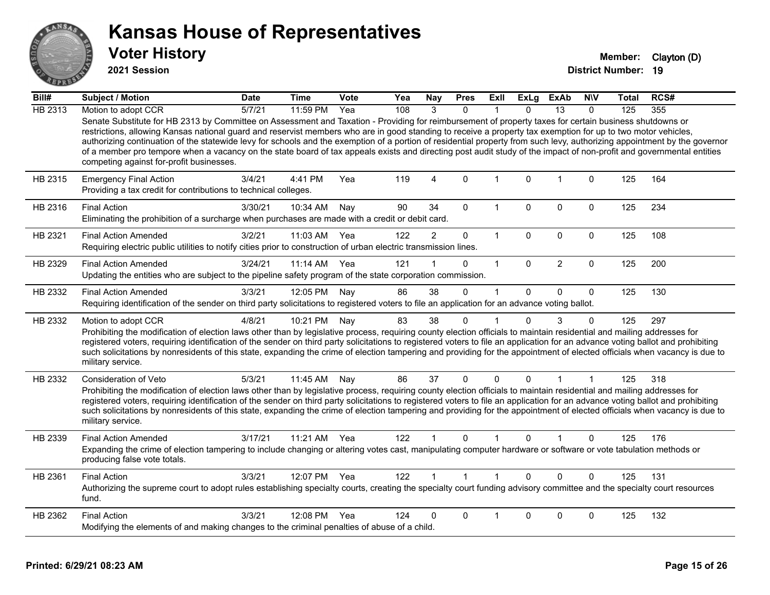

**2021 Session**

| Bill#   | <b>Subject / Motion</b>                                                                                                                                                                                                                                                                                                                                                                                                                                                                                                                                                                                                                                                                                                   | <b>Date</b> | <b>Time</b>  | <b>Vote</b> | Yea | Nay            | <b>Pres</b>    | Exll                 | <b>ExLg</b>  | <b>ExAb</b>    | <b>NIV</b>  | Total | RCS# |
|---------|---------------------------------------------------------------------------------------------------------------------------------------------------------------------------------------------------------------------------------------------------------------------------------------------------------------------------------------------------------------------------------------------------------------------------------------------------------------------------------------------------------------------------------------------------------------------------------------------------------------------------------------------------------------------------------------------------------------------------|-------------|--------------|-------------|-----|----------------|----------------|----------------------|--------------|----------------|-------------|-------|------|
| HB 2313 | Motion to adopt CCR                                                                                                                                                                                                                                                                                                                                                                                                                                                                                                                                                                                                                                                                                                       | 5/7/21      | 11:59 PM     | Yea         | 108 | 3              | $\Omega$       |                      | $\Omega$     | 13             | $\Omega$    | 125   | 355  |
|         | Senate Substitute for HB 2313 by Committee on Assessment and Taxation - Providing for reimbursement of property taxes for certain business shutdowns or<br>restrictions, allowing Kansas national guard and reservist members who are in good standing to receive a property tax exemption for up to two motor vehicles,<br>authorizing continuation of the statewide levy for schools and the exemption of a portion of residential property from such levy, authorizing appointment by the governor<br>of a member pro tempore when a vacancy on the state board of tax appeals exists and directing post audit study of the impact of non-profit and governmental entities<br>competing against for-profit businesses. |             |              |             |     |                |                |                      |              |                |             |       |      |
| HB 2315 | <b>Emergency Final Action</b><br>Providing a tax credit for contributions to technical colleges.                                                                                                                                                                                                                                                                                                                                                                                                                                                                                                                                                                                                                          | 3/4/21      | 4:41 PM      | Yea         | 119 | $\overline{4}$ | $\mathbf 0$    | $\mathbf{1}$         | $\mathbf 0$  | $\overline{1}$ | $\mathbf 0$ | 125   | 164  |
| HB 2316 | <b>Final Action</b><br>Eliminating the prohibition of a surcharge when purchases are made with a credit or debit card.                                                                                                                                                                                                                                                                                                                                                                                                                                                                                                                                                                                                    | 3/30/21     | 10:34 AM     | Nay         | 90  | 34             | $\Omega$       | 1                    | $\mathbf{0}$ | 0              | 0           | 125   | 234  |
| HB 2321 | <b>Final Action Amended</b><br>Requiring electric public utilities to notify cities prior to construction of urban electric transmission lines.                                                                                                                                                                                                                                                                                                                                                                                                                                                                                                                                                                           | 3/2/21      | 11:03 AM     | Yea         | 122 | $\overline{2}$ | 0              | $\mathbf{1}$         | 0            | $\mathbf 0$    | $\mathbf 0$ | 125   | 108  |
| HB 2329 | <b>Final Action Amended</b><br>Updating the entities who are subject to the pipeline safety program of the state corporation commission.                                                                                                                                                                                                                                                                                                                                                                                                                                                                                                                                                                                  | 3/24/21     | 11:14 AM     | Yea         | 121 |                | $\Omega$       | $\mathbf{1}$         | $\Omega$     | $\overline{2}$ | $\mathbf 0$ | 125   | 200  |
| HB 2332 | <b>Final Action Amended</b><br>Requiring identification of the sender on third party solicitations to registered voters to file an application for an advance voting ballot.                                                                                                                                                                                                                                                                                                                                                                                                                                                                                                                                              | 3/3/21      | 12:05 PM     | Nay         | 86  | 38             | $\mathbf{0}$   | 1                    | $\Omega$     | $\mathbf 0$    | $\mathbf 0$ | 125   | 130  |
| HB 2332 | Motion to adopt CCR<br>Prohibiting the modification of election laws other than by legislative process, requiring county election officials to maintain residential and mailing addresses for<br>registered voters, requiring identification of the sender on third party solicitations to registered voters to file an application for an advance voting ballot and prohibiting<br>such solicitations by nonresidents of this state, expanding the crime of election tampering and providing for the appointment of elected officials when vacancy is due to<br>military service.                                                                                                                                        | 4/8/21      | 10:21 PM     | Nay         | 83  | 38             | 0              | 1                    | $\Omega$     | 3              | 0           | 125   | 297  |
| HB 2332 | Consideration of Veto<br>Prohibiting the modification of election laws other than by legislative process, requiring county election officials to maintain residential and mailing addresses for<br>registered voters, requiring identification of the sender on third party solicitations to registered voters to file an application for an advance voting ballot and prohibiting<br>such solicitations by nonresidents of this state, expanding the crime of election tampering and providing for the appointment of elected officials when vacancy is due to<br>military service.                                                                                                                                      | 5/3/21      | 11:45 AM     | Nay         | 86  | 37             | 0              | 0                    | $\Omega$     |                | 1           | 125   | 318  |
| HB 2339 | <b>Final Action Amended</b><br>Expanding the crime of election tampering to include changing or altering votes cast, manipulating computer hardware or software or vote tabulation methods or<br>producing false vote totals.                                                                                                                                                                                                                                                                                                                                                                                                                                                                                             | 3/17/21     | 11:21 AM     | Yea         | 122 |                | $\Omega$       | $\blacktriangleleft$ | $\Omega$     |                | $\Omega$    | 125   | 176  |
| HB 2361 | <b>Final Action</b><br>Authorizing the supreme court to adopt rules establishing specialty courts, creating the specialty court funding advisory committee and the specialty court resources<br>fund.                                                                                                                                                                                                                                                                                                                                                                                                                                                                                                                     | 3/3/21      | 12:07 PM Yea |             | 122 |                | $\overline{1}$ | $\blacktriangleleft$ | $\Omega$     | $\Omega$       | $\Omega$    | 125   | 131  |
| HB 2362 | <b>Final Action</b><br>Modifying the elements of and making changes to the criminal penalties of abuse of a child.                                                                                                                                                                                                                                                                                                                                                                                                                                                                                                                                                                                                        | 3/3/21      | 12:08 PM     | Yea         | 124 | 0              | 0              |                      | $\Omega$     | 0              | 0           | 125   | 132  |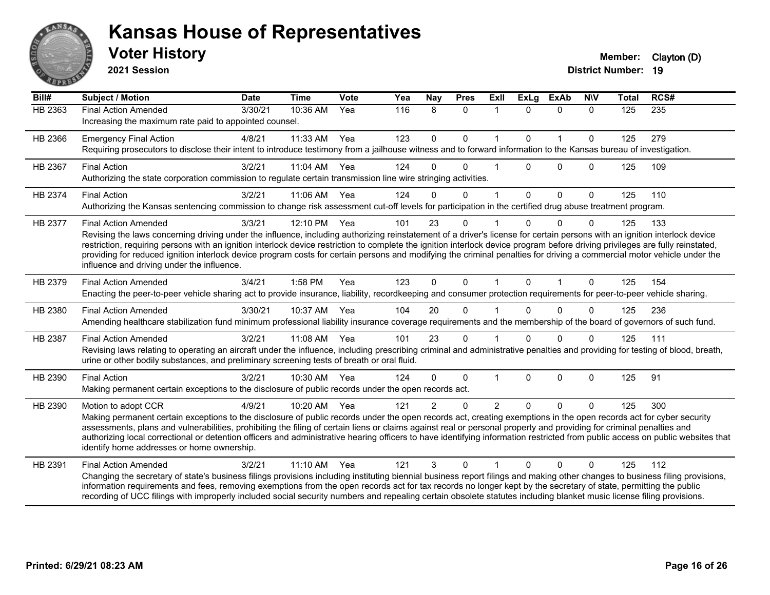

**2021 Session**

| $\overline{Bill#}$ | <b>Subject / Motion</b>                                                                                                                                                                                                                                                                                                                                                                                                                                                                                                                                                                                             | <b>Date</b> | <b>Time</b> | Vote | Yea | <b>Nay</b>     | <b>Pres</b>  | ExII           | <b>ExLg</b>  | <b>ExAb</b>  | <b>NIV</b>   | <b>Total</b> | RCS#             |
|--------------------|---------------------------------------------------------------------------------------------------------------------------------------------------------------------------------------------------------------------------------------------------------------------------------------------------------------------------------------------------------------------------------------------------------------------------------------------------------------------------------------------------------------------------------------------------------------------------------------------------------------------|-------------|-------------|------|-----|----------------|--------------|----------------|--------------|--------------|--------------|--------------|------------------|
| <b>HB 2363</b>     | <b>Final Action Amended</b><br>Increasing the maximum rate paid to appointed counsel.                                                                                                                                                                                                                                                                                                                                                                                                                                                                                                                               | 3/30/21     | 10:36 AM    | Yea  | 116 | 8              | $\mathbf{0}$ | -1             | $\Omega$     | $\Omega$     | $\Omega$     | 125          | $\overline{235}$ |
| HB 2366            | <b>Emergency Final Action</b><br>Requiring prosecutors to disclose their intent to introduce testimony from a jailhouse witness and to forward information to the Kansas bureau of investigation.                                                                                                                                                                                                                                                                                                                                                                                                                   | 4/8/21      | 11:33 AM    | Yea  | 123 | $\mathbf 0$    | $\pmb{0}$    | 1              | $\mathbf{0}$ | $\mathbf{1}$ | $\mathbf{0}$ | 125          | 279              |
| HB 2367            | <b>Final Action</b><br>Authorizing the state corporation commission to regulate certain transmission line wire stringing activities.                                                                                                                                                                                                                                                                                                                                                                                                                                                                                | 3/2/21      | 11:04 AM    | Yea  | 124 | $\Omega$       | $\Omega$     |                | $\Omega$     | $\Omega$     | $\Omega$     | 125          | 109              |
| HB 2374            | <b>Final Action</b><br>Authorizing the Kansas sentencing commission to change risk assessment cut-off levels for participation in the certified drug abuse treatment program.                                                                                                                                                                                                                                                                                                                                                                                                                                       | 3/2/21      | 11:06 AM    | Yea  | 124 | $\Omega$       | $\mathbf{0}$ | 1              | $\mathbf{0}$ | $\Omega$     | $\mathbf{0}$ | 125          | 110              |
| HB 2377            | <b>Final Action Amended</b><br>Revising the laws concerning driving under the influence, including authorizing reinstatement of a driver's license for certain persons with an ignition interlock device<br>restriction, requiring persons with an ignition interlock device restriction to complete the ignition interlock device program before driving privileges are fully reinstated,<br>providing for reduced ignition interlock device program costs for certain persons and modifying the criminal penalties for driving a commercial motor vehicle under the<br>influence and driving under the influence. | 3/3/21      | 12:10 PM    | Yea  | 101 | 23             | $\mathbf{0}$ |                | $\Omega$     | $\Omega$     | $\Omega$     | 125          | 133              |
| HB 2379            | <b>Final Action Amended</b><br>Enacting the peer-to-peer vehicle sharing act to provide insurance, liability, recordkeeping and consumer protection requirements for peer-to-peer vehicle sharing.                                                                                                                                                                                                                                                                                                                                                                                                                  | 3/4/21      | 1:58 PM     | Yea  | 123 | $\Omega$       | $\mathbf{0}$ | $\overline{1}$ | $\mathbf{0}$ | $\mathbf{1}$ | $\mathbf{0}$ | 125          | 154              |
| HB 2380            | <b>Final Action Amended</b><br>Amending healthcare stabilization fund minimum professional liability insurance coverage requirements and the membership of the board of governors of such fund.                                                                                                                                                                                                                                                                                                                                                                                                                     | 3/30/21     | 10:37 AM    | Yea  | 104 | 20             | $\Omega$     |                | $\Omega$     | $\Omega$     | $\Omega$     | 125          | 236              |
| HB 2387            | <b>Final Action Amended</b><br>Revising laws relating to operating an aircraft under the influence, including prescribing criminal and administrative penalties and providing for testing of blood, breath,<br>urine or other bodily substances, and preliminary screening tests of breath or oral fluid.                                                                                                                                                                                                                                                                                                           | 3/2/21      | 11:08 AM    | Yea  | 101 | 23             | $\Omega$     |                | $\Omega$     | $\Omega$     | $\Omega$     | 125          | 111              |
| HB 2390            | <b>Final Action</b><br>Making permanent certain exceptions to the disclosure of public records under the open records act.                                                                                                                                                                                                                                                                                                                                                                                                                                                                                          | 3/2/21      | 10:30 AM    | Yea  | 124 | $\Omega$       | $\Omega$     | $\mathbf{1}$   | $\Omega$     | $\Omega$     | $\mathbf{0}$ | 125          | 91               |
| HB 2390            | Motion to adopt CCR<br>Making permanent certain exceptions to the disclosure of public records under the open records act, creating exemptions in the open records act for cyber security<br>assessments, plans and vulnerabilities, prohibiting the filing of certain liens or claims against real or personal property and providing for criminal penalties and<br>authorizing local correctional or detention officers and administrative hearing officers to have identifying information restricted from public access on public websites that<br>identify home addresses or home ownership.                   | 4/9/21      | 10:20 AM    | Yea  | 121 | $\overline{2}$ | $\Omega$     | 2              | $\Omega$     | $\Omega$     | $\Omega$     | 125          | 300              |
| HB 2391            | <b>Final Action Amended</b><br>Changing the secretary of state's business filings provisions including instituting biennial business report filings and making other changes to business filing provisions,<br>information requirements and fees, removing exemptions from the open records act for tax records no longer kept by the secretary of state, permitting the public<br>recording of UCC filings with improperly included social security numbers and repealing certain obsolete statutes including blanket music license filing provisions.                                                             | 3/2/21      | 11:10 AM    | Yea  | 121 | 3              | $\Omega$     |                | 0            | $\Omega$     | $\Omega$     | 125          | 112              |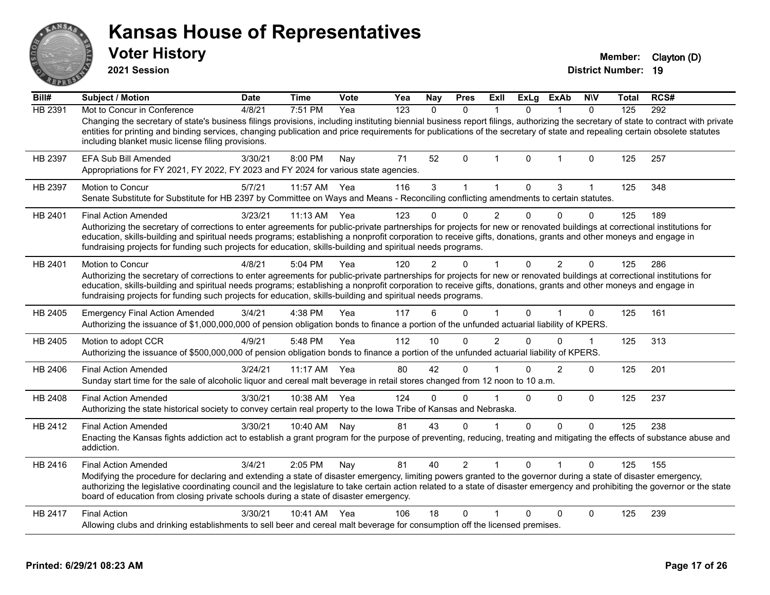|                                                                | <b>Voter History</b><br>2021 Session                                                                                                                                                                                                                                                                                                                                                                                                                                                        |             |              |      |     |              |                |                      |              |                |                | Member:<br><b>District Number: 19</b> | Clayton (D) |
|----------------------------------------------------------------|---------------------------------------------------------------------------------------------------------------------------------------------------------------------------------------------------------------------------------------------------------------------------------------------------------------------------------------------------------------------------------------------------------------------------------------------------------------------------------------------|-------------|--------------|------|-----|--------------|----------------|----------------------|--------------|----------------|----------------|---------------------------------------|-------------|
| Bill#                                                          | Subject / Motion                                                                                                                                                                                                                                                                                                                                                                                                                                                                            | <b>Date</b> | <b>Time</b>  | Vote | Yea | <b>Nay</b>   | <b>Pres</b>    | Exll                 | <b>ExLg</b>  | <b>ExAb</b>    | <b>NIV</b>     | Total                                 | RCS#        |
| HB 2391                                                        | Mot to Concur in Conference<br>Changing the secretary of state's business filings provisions, including instituting biennial business report filings, authorizing the secretary of state to contract with private<br>entities for printing and binding services, changing publication and price requirements for publications of the secretary of state and repealing certain obsolete statutes<br>including blanket music license filing provisions.                                       | 4/8/21      | 7:51 PM      | Yea  | 123 | $\mathbf{0}$ | $\mathbf{0}$   | $\mathbf{1}$         | $\mathbf{0}$ | $\mathbf{1}$   | $\Omega$       | 125                                   | 292         |
| HB 2397                                                        | <b>EFA Sub Bill Amended</b><br>Appropriations for FY 2021, FY 2022, FY 2023 and FY 2024 for various state agencies.                                                                                                                                                                                                                                                                                                                                                                         | 3/30/21     | 8:00 PM      | Nay  | 71  | 52           | $\Omega$       | $\mathbf 1$          | $\mathbf 0$  | 1              | $\mathbf 0$    | 125                                   | 257         |
| HB 2397                                                        | <b>Motion to Concur</b><br>Senate Substitute for Substitute for HB 2397 by Committee on Ways and Means - Reconciling conflicting amendments to certain statutes.                                                                                                                                                                                                                                                                                                                            | 5/7/21      | 11:57 AM     | Yea  | 116 | $\mathbf{3}$ | $\mathbf{1}$   | $\mathbf{1}$         | $\pmb{0}$    | 3              | $\mathbf 1$    | 125                                   | 348         |
| HB 2401                                                        | <b>Final Action Amended</b><br>Authorizing the secretary of corrections to enter agreements for public-private partnerships for projects for new or renovated buildings at correctional institutions for<br>education, skills-building and spiritual needs programs; establishing a nonprofit corporation to receive gifts, donations, grants and other moneys and engage in<br>fundraising projects for funding such projects for education, skills-building and spiritual needs programs. | 3/23/21     | 11:13 AM     | Yea  | 123 | 0            | 0              | $\overline{2}$       | $\Omega$     | $\Omega$       | $\Omega$       | 125                                   | 189         |
| HB 2401                                                        | <b>Motion to Concur</b><br>Authorizing the secretary of corrections to enter agreements for public-private partnerships for projects for new or renovated buildings at correctional institutions for<br>education, skills-building and spiritual needs programs; establishing a nonprofit corporation to receive gifts, donations, grants and other moneys and engage in<br>fundraising projects for funding such projects for education, skills-building and spiritual needs programs.     | 4/8/21      | 5:04 PM      | Yea  | 120 |              | $\Omega$       | 1                    | 0            | $\overline{2}$ | $\overline{0}$ | 125                                   | 286         |
|                                                                |                                                                                                                                                                                                                                                                                                                                                                                                                                                                                             |             |              |      |     |              |                |                      |              |                |                |                                       |             |
|                                                                | <b>Emergency Final Action Amended</b><br>Authorizing the issuance of \$1,000,000,000 of pension obligation bonds to finance a portion of the unfunded actuarial liability of KPERS.                                                                                                                                                                                                                                                                                                         | 3/4/21      | 4:38 PM      | Yea  | 117 | 6            | $\Omega$       | 1                    | $\Omega$     |                | $\Omega$       | 125                                   | 161         |
|                                                                | Motion to adopt CCR<br>Authorizing the issuance of \$500,000,000 of pension obligation bonds to finance a portion of the unfunded actuarial liability of KPERS.                                                                                                                                                                                                                                                                                                                             | 4/9/21      | 5:48 PM      | Yea  | 112 | 10           | $\Omega$       | $\mathfrak{p}$       | $\Omega$     | 0              | $\mathbf{1}$   | 125                                   | 313         |
|                                                                | <b>Final Action Amended</b><br>Sunday start time for the sale of alcoholic liquor and cereal malt beverage in retail stores changed from 12 noon to 10 a.m.                                                                                                                                                                                                                                                                                                                                 | 3/24/21     | 11:17 AM Yea |      | 80  | 42           | 0              |                      | 0            | $\overline{2}$ | 0              | 125                                   | 201         |
|                                                                | <b>Final Action Amended</b><br>Authorizing the state historical society to convey certain real property to the Iowa Tribe of Kansas and Nebraska.                                                                                                                                                                                                                                                                                                                                           | 3/30/21     | 10:38 AM Yea |      | 124 | $\Omega$     | $\Omega$       | 1                    | $\Omega$     | $\Omega$       | $\Omega$       | 125                                   | 237         |
|                                                                | <b>Final Action Amended</b><br>Enacting the Kansas fights addiction act to establish a grant program for the purpose of preventing, reducing, treating and mitigating the effects of substance abuse and<br>addiction.                                                                                                                                                                                                                                                                      | 3/30/21     | 10:40 AM     | Nav  | 81  | 43           | $\Omega$       | 1                    | 0            | 0              | $\mathbf 0$    | 125                                   | 238         |
| HB 2405<br>HB 2405<br>HB 2406<br>HB 2408<br>HB 2412<br>HB 2416 | <b>Final Action Amended</b><br>Modifying the procedure for declaring and extending a state of disaster emergency, limiting powers granted to the governor during a state of disaster emergency,<br>authorizing the legislative coordinating council and the legislature to take certain action related to a state of disaster emergency and prohibiting the governor or the state<br>board of education from closing private schools during a state of disaster emergency.                  | 3/4/21      | $2:05$ PM    | Nav  | 81  | 40           | $\overline{2}$ | $\blacktriangleleft$ | $\Omega$     |                | 0              | 125                                   | 155         |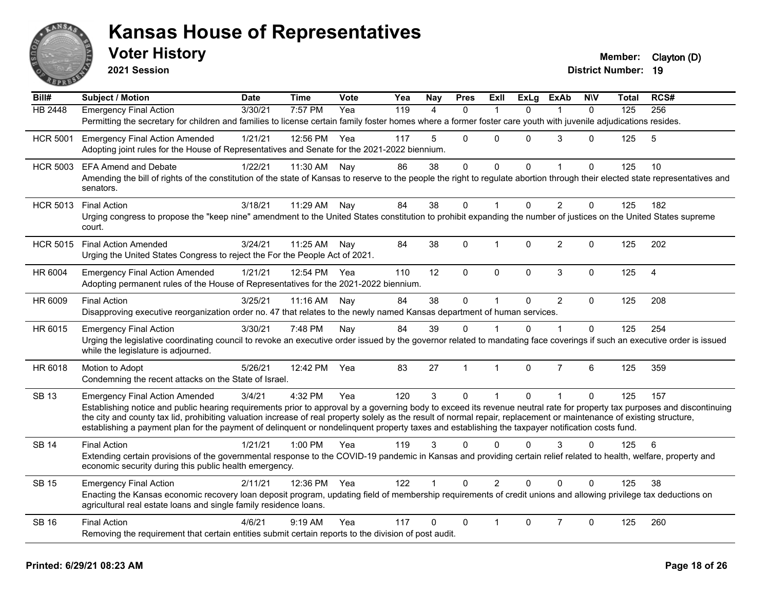

**2021 Session**

| Bill#           | <b>Subject / Motion</b>                                                                                                                                                                                                                                                                                                                           | <b>Date</b> | <b>Time</b> | Vote | Yea | Nay            | <b>Pres</b>  | Exll           | <b>ExLg</b> | <b>ExAb</b>    | <b>NIV</b>   | Total | RCS#           |
|-----------------|---------------------------------------------------------------------------------------------------------------------------------------------------------------------------------------------------------------------------------------------------------------------------------------------------------------------------------------------------|-------------|-------------|------|-----|----------------|--------------|----------------|-------------|----------------|--------------|-------|----------------|
| <b>HB 2448</b>  | <b>Emergency Final Action</b>                                                                                                                                                                                                                                                                                                                     | 3/30/21     | 7:57 PM     | Yea  | 119 | $\overline{A}$ | $\Omega$     |                | $\Omega$    |                | $\Omega$     | 125   | 256            |
|                 | Permitting the secretary for children and families to license certain family foster homes where a former foster care youth with juvenile adjudications resides.                                                                                                                                                                                   |             |             |      |     |                |              |                |             |                |              |       |                |
| <b>HCR 5001</b> | <b>Emergency Final Action Amended</b>                                                                                                                                                                                                                                                                                                             | 1/21/21     | 12:56 PM    | Yea  | 117 | 5              | $\Omega$     | $\Omega$       | $\Omega$    | 3              | $\Omega$     | 125   | 5              |
|                 | Adopting joint rules for the House of Representatives and Senate for the 2021-2022 biennium.                                                                                                                                                                                                                                                      |             |             |      |     |                |              |                |             |                |              |       |                |
| <b>HCR 5003</b> | <b>EFA Amend and Debate</b>                                                                                                                                                                                                                                                                                                                       | 1/22/21     | 11:30 AM    | Nay  | 86  | 38             | $\mathbf 0$  | $\mathbf 0$    | $\Omega$    | $\mathbf{1}$   | $\Omega$     | 125   | 10             |
|                 | Amending the bill of rights of the constitution of the state of Kansas to reserve to the people the right to regulate abortion through their elected state representatives and<br>senators.                                                                                                                                                       |             |             |      |     |                |              |                |             |                |              |       |                |
| <b>HCR 5013</b> | <b>Final Action</b>                                                                                                                                                                                                                                                                                                                               | 3/18/21     | 11:29 AM    | Nay  | 84  | 38             | $\mathbf 0$  | $\mathbf{1}$   | $\Omega$    | $\overline{2}$ | $\mathbf 0$  | 125   | 182            |
|                 | Urging congress to propose the "keep nine" amendment to the United States constitution to prohibit expanding the number of justices on the United States supreme<br>court.                                                                                                                                                                        |             |             |      |     |                |              |                |             |                |              |       |                |
| <b>HCR 5015</b> | <b>Final Action Amended</b>                                                                                                                                                                                                                                                                                                                       | 3/24/21     | 11:25 AM    | Nay  | 84  | 38             | $\mathbf 0$  | 1              | $\Omega$    | $\overline{2}$ | 0            | 125   | 202            |
|                 | Urging the United States Congress to reject the For the People Act of 2021.                                                                                                                                                                                                                                                                       |             |             |      |     |                |              |                |             |                |              |       |                |
| HR 6004         | <b>Emergency Final Action Amended</b>                                                                                                                                                                                                                                                                                                             | 1/21/21     | 12:54 PM    | Yea  | 110 | 12             | $\mathbf{0}$ | $\Omega$       | $\Omega$    | 3              | $\mathbf{0}$ | 125   | $\overline{4}$ |
|                 | Adopting permanent rules of the House of Representatives for the 2021-2022 biennium.                                                                                                                                                                                                                                                              |             |             |      |     |                |              |                |             |                |              |       |                |
| HR 6009         | <b>Final Action</b>                                                                                                                                                                                                                                                                                                                               | 3/25/21     | 11:16 AM    | Nay  | 84  | 38             | $\mathsf{O}$ | $\mathbf{1}$   | $\Omega$    | $\overline{2}$ | $\mathbf 0$  | 125   | 208            |
|                 | Disapproving executive reorganization order no. 47 that relates to the newly named Kansas department of human services.                                                                                                                                                                                                                           |             |             |      |     |                |              |                |             |                |              |       |                |
| HR 6015         | <b>Emergency Final Action</b>                                                                                                                                                                                                                                                                                                                     | 3/30/21     | 7:48 PM     | Nay  | 84  | 39             | $\Omega$     |                | 0           |                | $\Omega$     | 125   | 254            |
|                 | Urging the legislative coordinating council to revoke an executive order issued by the governor related to mandating face coverings if such an executive order is issued<br>while the legislature is adjourned.                                                                                                                                   |             |             |      |     |                |              |                |             |                |              |       |                |
| HR 6018         | Motion to Adopt                                                                                                                                                                                                                                                                                                                                   | 5/26/21     | 12:42 PM    | Yea  | 83  | 27             | $\mathbf{1}$ | $\mathbf{1}$   | $\Omega$    | $\overline{7}$ | 6            | 125   | 359            |
|                 | Condemning the recent attacks on the State of Israel.                                                                                                                                                                                                                                                                                             |             |             |      |     |                |              |                |             |                |              |       |                |
| <b>SB 13</b>    | <b>Emergency Final Action Amended</b>                                                                                                                                                                                                                                                                                                             | 3/4/21      | 4:32 PM     | Yea  | 120 | 3              | $\mathbf{0}$ | 1              | $\Omega$    |                | $\mathbf{0}$ | 125   | 157            |
|                 | Establishing notice and public hearing requirements prior to approval by a governing body to exceed its revenue neutral rate for property tax purposes and discontinuing<br>the city and county tax lid, prohibiting valuation increase of real property solely as the result of normal repair, replacement or maintenance of existing structure, |             |             |      |     |                |              |                |             |                |              |       |                |
|                 | establishing a payment plan for the payment of delinquent or nondelinquent property taxes and establishing the taxpayer notification costs fund.                                                                                                                                                                                                  |             |             |      |     |                |              |                |             |                |              |       |                |
| <b>SB 14</b>    | <b>Final Action</b>                                                                                                                                                                                                                                                                                                                               | 1/21/21     | 1:00 PM     | Yea  | 119 | 3              | $\Omega$     | $\Omega$       | $\Omega$    | 3              | 0            | 125   | 6              |
|                 | Extending certain provisions of the governmental response to the COVID-19 pandemic in Kansas and providing certain relief related to health, welfare, property and<br>economic security during this public health emergency.                                                                                                                      |             |             |      |     |                |              |                |             |                |              |       |                |
| <b>SB 15</b>    | <b>Emergency Final Action</b>                                                                                                                                                                                                                                                                                                                     | 2/11/21     | 12:36 PM    | Yea  | 122 | $\mathbf{1}$   | $\Omega$     | $\overline{2}$ | $\Omega$    | $\Omega$       | $\Omega$     | 125   | 38             |
|                 | Enacting the Kansas economic recovery loan deposit program, updating field of membership requirements of credit unions and allowing privilege tax deductions on<br>agricultural real estate loans and single family residence loans.                                                                                                              |             |             |      |     |                |              |                |             |                |              |       |                |
| <b>SB 16</b>    | <b>Final Action</b>                                                                                                                                                                                                                                                                                                                               | 4/6/21      | 9:19 AM     | Yea  | 117 | $\Omega$       | $\mathbf 0$  |                | $\Omega$    | $\overline{7}$ | 0            | 125   | 260            |
|                 | Removing the requirement that certain entities submit certain reports to the division of post audit.                                                                                                                                                                                                                                              |             |             |      |     |                |              |                |             |                |              |       |                |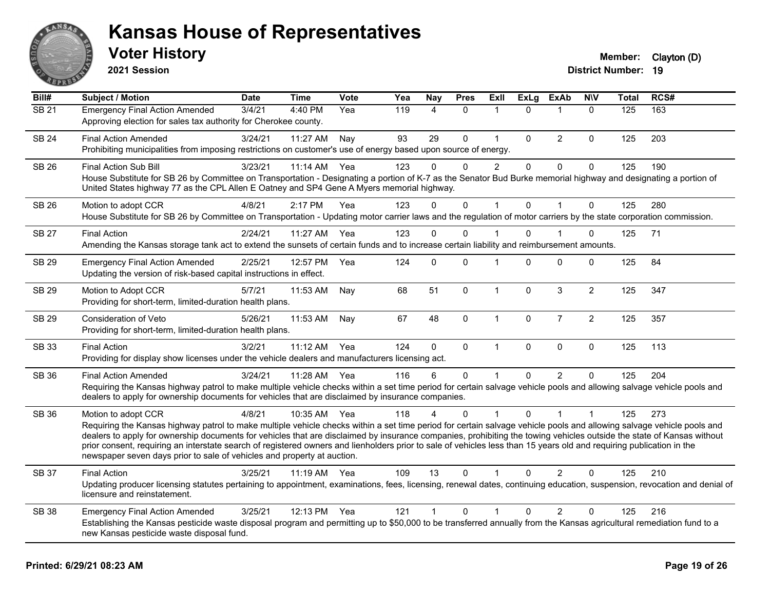

**2021 Session**

| Bill#        | <b>Subject / Motion</b>                                                                                                                                                                                                                                                                                                                                                                                                                                                                                                                                                                                                  | <b>Date</b> | <b>Time</b> | Vote | Yea | <b>Nay</b>   | <b>Pres</b>  | Exll           | <b>ExLg</b>  | <b>ExAb</b>    | <b>NIV</b>     | <b>Total</b> | RCS# |
|--------------|--------------------------------------------------------------------------------------------------------------------------------------------------------------------------------------------------------------------------------------------------------------------------------------------------------------------------------------------------------------------------------------------------------------------------------------------------------------------------------------------------------------------------------------------------------------------------------------------------------------------------|-------------|-------------|------|-----|--------------|--------------|----------------|--------------|----------------|----------------|--------------|------|
| SB21         | <b>Emergency Final Action Amended</b><br>Approving election for sales tax authority for Cherokee county.                                                                                                                                                                                                                                                                                                                                                                                                                                                                                                                 | 3/4/21      | 4:40 PM     | Yea  | 119 | 4            | $\mathbf{0}$ | 1              | $\Omega$     | 1              | $\mathbf{0}$   | 125          | 163  |
| <b>SB 24</b> | <b>Final Action Amended</b><br>Prohibiting municipalities from imposing restrictions on customer's use of energy based upon source of energy.                                                                                                                                                                                                                                                                                                                                                                                                                                                                            | 3/24/21     | 11:27 AM    | Nay  | 93  | 29           | $\mathbf{0}$ | $\mathbf{1}$   | $\Omega$     | $\overline{2}$ | $\Omega$       | 125          | 203  |
| <b>SB 26</b> | <b>Final Action Sub Bill</b><br>House Substitute for SB 26 by Committee on Transportation - Designating a portion of K-7 as the Senator Bud Burke memorial highway and designating a portion of<br>United States highway 77 as the CPL Allen E Oatney and SP4 Gene A Myers memorial highway.                                                                                                                                                                                                                                                                                                                             | 3/23/21     | 11:14 AM    | Yea  | 123 | 0            | 0            | $\overline{2}$ | $\mathbf 0$  | $\pmb{0}$      | $\mathbf 0$    | 125          | 190  |
| <b>SB 26</b> | Motion to adopt CCR<br>House Substitute for SB 26 by Committee on Transportation - Updating motor carrier laws and the regulation of motor carriers by the state corporation commission.                                                                                                                                                                                                                                                                                                                                                                                                                                 | 4/8/21      | 2:17 PM     | Yea  | 123 | $\Omega$     | $\mathbf 0$  | 1              | $\Omega$     | $\overline{1}$ | $\mathbf{0}$   | 125          | 280  |
| <b>SB 27</b> | <b>Final Action</b><br>Amending the Kansas storage tank act to extend the sunsets of certain funds and to increase certain liability and reimbursement amounts.                                                                                                                                                                                                                                                                                                                                                                                                                                                          | 2/24/21     | 11:27 AM    | Yea  | 123 | $\Omega$     | $\Omega$     |                | $\Omega$     |                | $\Omega$       | 125          | 71   |
| <b>SB 29</b> | <b>Emergency Final Action Amended</b><br>Updating the version of risk-based capital instructions in effect.                                                                                                                                                                                                                                                                                                                                                                                                                                                                                                              | 2/25/21     | 12:57 PM    | Yea  | 124 | $\mathbf{0}$ | $\Omega$     | 1              | $\Omega$     | $\mathbf 0$    | 0              | 125          | 84   |
| <b>SB 29</b> | Motion to Adopt CCR<br>Providing for short-term, limited-duration health plans.                                                                                                                                                                                                                                                                                                                                                                                                                                                                                                                                          | 5/7/21      | 11:53 AM    | Nay  | 68  | 51           | $\mathbf 0$  | $\mathbf{1}$   | $\mathbf{0}$ | $\mathbf{3}$   | $\overline{c}$ | 125          | 347  |
| SB 29        | Consideration of Veto<br>Providing for short-term, limited-duration health plans.                                                                                                                                                                                                                                                                                                                                                                                                                                                                                                                                        | 5/26/21     | 11:53 AM    | Nay  | 67  | 48           | $\mathbf 0$  | $\mathbf{1}$   | 0            | $\overline{7}$ | $\sqrt{2}$     | 125          | 357  |
| <b>SB 33</b> | <b>Final Action</b><br>Providing for display show licenses under the vehicle dealers and manufacturers licensing act.                                                                                                                                                                                                                                                                                                                                                                                                                                                                                                    | 3/2/21      | 11:12 AM    | Yea  | 124 | $\mathbf{0}$ | $\mathbf 0$  | $\mathbf{1}$   | $\mathbf{0}$ | $\mathbf 0$    | $\mathbf 0$    | 125          | 113  |
| SB 36        | <b>Final Action Amended</b><br>Requiring the Kansas highway patrol to make multiple vehicle checks within a set time period for certain salvage vehicle pools and allowing salvage vehicle pools and<br>dealers to apply for ownership documents for vehicles that are disclaimed by insurance companies.                                                                                                                                                                                                                                                                                                                | 3/24/21     | 11:28 AM    | Yea  | 116 | 6            | $\mathbf 0$  |                | $\Omega$     | 2              | $\Omega$       | 125          | 204  |
| <b>SB 36</b> | Motion to adopt CCR<br>Requiring the Kansas highway patrol to make multiple vehicle checks within a set time period for certain salvage vehicle pools and allowing salvage vehicle pools and<br>dealers to apply for ownership documents for vehicles that are disclaimed by insurance companies, prohibiting the towing vehicles outside the state of Kansas without<br>prior consent, requiring an interstate search of registered owners and lienholders prior to sale of vehicles less than 15 years old and requiring publication in the<br>newspaper seven days prior to sale of vehicles and property at auction. | 4/8/21      | 10:35 AM    | Yea  | 118 |              | 0            |                | $\mathbf{0}$ |                | $\overline{1}$ | 125          | 273  |
| SB 37        | <b>Final Action</b><br>Updating producer licensing statutes pertaining to appointment, examinations, fees, licensing, renewal dates, continuing education, suspension, revocation and denial of<br>licensure and reinstatement.                                                                                                                                                                                                                                                                                                                                                                                          | 3/25/21     | $11:19$ AM  | Yea  | 109 | 13           | 0            |                | 0            | 2              | $\Omega$       | 125          | 210  |
| <b>SB 38</b> | <b>Emergency Final Action Amended</b><br>Establishing the Kansas pesticide waste disposal program and permitting up to \$50,000 to be transferred annually from the Kansas agricultural remediation fund to a<br>new Kansas pesticide waste disposal fund.                                                                                                                                                                                                                                                                                                                                                               | 3/25/21     | 12:13 PM    | Yea  | 121 | $\mathbf{1}$ | 0            | 1              | $\Omega$     | $\overline{2}$ | $\Omega$       | 125          | 216  |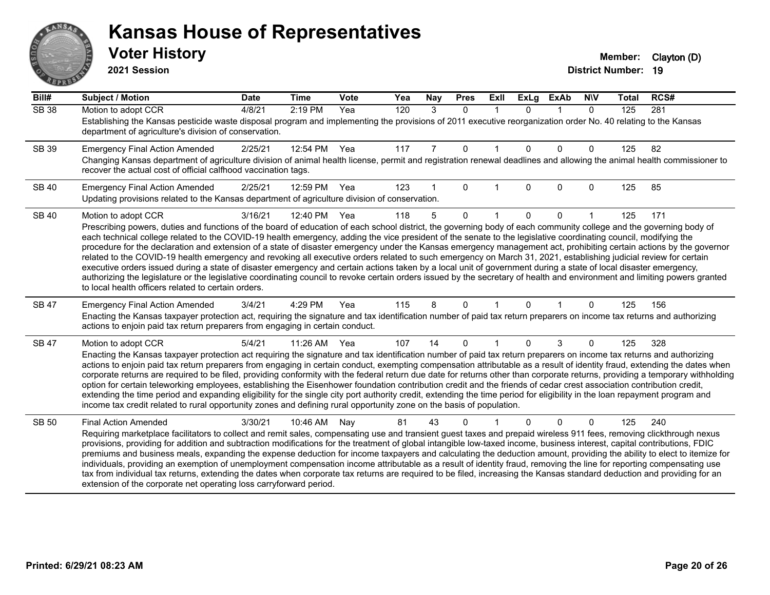# ANS Ě

#### **Kansas House of Representatives**

**2021 Session**

| Bill#        | <b>Subject / Motion</b>                                                                                                                                                                                                                                                                                                                                    | <b>Date</b> | <b>Time</b> | Vote | Yea | Nay | <b>Pres</b>  | ExII | <b>ExLg</b> | <b>ExAb</b>  | <b>NIV</b>   | <b>Total</b> | RCS# |
|--------------|------------------------------------------------------------------------------------------------------------------------------------------------------------------------------------------------------------------------------------------------------------------------------------------------------------------------------------------------------------|-------------|-------------|------|-----|-----|--------------|------|-------------|--------------|--------------|--------------|------|
| <b>SB 38</b> | Motion to adopt CCR                                                                                                                                                                                                                                                                                                                                        | 4/8/21      | 2:19 PM     | Yea  | 120 | 3   | $\mathbf{0}$ |      | $\Omega$    | $\mathbf 1$  | $\mathbf{0}$ | 125          | 281  |
|              | Establishing the Kansas pesticide waste disposal program and implementing the provisions of 2011 executive reorganization order No. 40 relating to the Kansas<br>department of agriculture's division of conservation.                                                                                                                                     |             |             |      |     |     |              |      |             |              |              |              |      |
| SB 39        | <b>Emergency Final Action Amended</b>                                                                                                                                                                                                                                                                                                                      | 2/25/21     | 12:54 PM    | Yea  | 117 | 7   | $\mathbf 0$  |      | $\Omega$    | $\mathbf{0}$ | 0            | 125          | 82   |
|              | Changing Kansas department of agriculture division of animal health license, permit and registration renewal deadlines and allowing the animal health commissioner to<br>recover the actual cost of official calfhood vaccination tags.                                                                                                                    |             |             |      |     |     |              |      |             |              |              |              |      |
| <b>SB 40</b> | <b>Emergency Final Action Amended</b>                                                                                                                                                                                                                                                                                                                      | 2/25/21     | 12:59 PM    | Yea  | 123 |     | $\Omega$     |      | $\Omega$    | $\mathbf{0}$ | 0            | 125          | 85   |
|              | Updating provisions related to the Kansas department of agriculture division of conservation.                                                                                                                                                                                                                                                              |             |             |      |     |     |              |      |             |              |              |              |      |
| <b>SB 40</b> | Motion to adopt CCR                                                                                                                                                                                                                                                                                                                                        | 3/16/21     | 12:40 PM    | Yea  | 118 | 5   | $\Omega$     |      | 0           | 0            |              | 125          | 171  |
|              | Prescribing powers, duties and functions of the board of education of each school district, the governing body of each community college and the governing body of                                                                                                                                                                                         |             |             |      |     |     |              |      |             |              |              |              |      |
|              | each technical college related to the COVID-19 health emergency, adding the vice president of the senate to the legislative coordinating council, modifying the<br>procedure for the declaration and extension of a state of disaster emergency under the Kansas emergency management act, prohibiting certain actions by the governor                     |             |             |      |     |     |              |      |             |              |              |              |      |
|              | related to the COVID-19 health emergency and revoking all executive orders related to such emergency on March 31, 2021, establishing judicial review for certain                                                                                                                                                                                           |             |             |      |     |     |              |      |             |              |              |              |      |
|              | executive orders issued during a state of disaster emergency and certain actions taken by a local unit of government during a state of local disaster emergency,                                                                                                                                                                                           |             |             |      |     |     |              |      |             |              |              |              |      |
|              | authorizing the legislature or the legislative coordinating council to revoke certain orders issued by the secretary of health and environment and limiting powers granted<br>to local health officers related to certain orders.                                                                                                                          |             |             |      |     |     |              |      |             |              |              |              |      |
| <b>SB 47</b> | <b>Emergency Final Action Amended</b>                                                                                                                                                                                                                                                                                                                      | 3/4/21      | 4:29 PM     | Yea  | 115 | 8   | 0            |      | 0           |              | 0            | 125          | 156  |
|              | Enacting the Kansas taxpayer protection act, requiring the signature and tax identification number of paid tax return preparers on income tax returns and authorizing<br>actions to enjoin paid tax return preparers from engaging in certain conduct.                                                                                                     |             |             |      |     |     |              |      |             |              |              |              |      |
| <b>SB 47</b> | Motion to adopt CCR                                                                                                                                                                                                                                                                                                                                        | 5/4/21      | 11:26 AM    | Yea  | 107 | 14  | $\Omega$     |      | $\Omega$    | 3            | 0            | 125          | 328  |
|              | Enacting the Kansas taxpayer protection act requiring the signature and tax identification number of paid tax return preparers on income tax returns and authorizing                                                                                                                                                                                       |             |             |      |     |     |              |      |             |              |              |              |      |
|              | actions to enjoin paid tax return preparers from engaging in certain conduct, exempting compensation attributable as a result of identity fraud, extending the dates when<br>corporate returns are required to be filed, providing conformity with the federal return due date for returns other than corporate returns, providing a temporary withholding |             |             |      |     |     |              |      |             |              |              |              |      |
|              | option for certain teleworking employees, establishing the Eisenhower foundation contribution credit and the friends of cedar crest association contribution credit,                                                                                                                                                                                       |             |             |      |     |     |              |      |             |              |              |              |      |
|              | extending the time period and expanding eligibility for the single city port authority credit, extending the time period for eligibility in the loan repayment program and                                                                                                                                                                                 |             |             |      |     |     |              |      |             |              |              |              |      |
|              | income tax credit related to rural opportunity zones and defining rural opportunity zone on the basis of population.                                                                                                                                                                                                                                       |             |             |      |     |     |              |      |             |              |              |              |      |
| SB 50        | <b>Final Action Amended</b>                                                                                                                                                                                                                                                                                                                                | 3/30/21     | 10:46 AM    | Nay  | 81  | 43  | 0            |      |             | $\Omega$     | 0            | 125          | 240  |
|              | Requiring marketplace facilitators to collect and remit sales, compensating use and transient guest taxes and prepaid wireless 911 fees, removing clickthrough nexus<br>provisions, providing for addition and subtraction modifications for the treatment of global intangible low-taxed income, business interest, capital contributions, FDIC           |             |             |      |     |     |              |      |             |              |              |              |      |
|              | premiums and business meals, expanding the expense deduction for income taxpayers and calculating the deduction amount, providing the ability to elect to itemize for                                                                                                                                                                                      |             |             |      |     |     |              |      |             |              |              |              |      |
|              | individuals, providing an exemption of unemployment compensation income attributable as a result of identity fraud, removing the line for reporting compensating use                                                                                                                                                                                       |             |             |      |     |     |              |      |             |              |              |              |      |
|              | tax from individual tax returns, extending the dates when corporate tax returns are required to be filed, increasing the Kansas standard deduction and providing for an<br>extension of the corporate net operating loss carryforward period.                                                                                                              |             |             |      |     |     |              |      |             |              |              |              |      |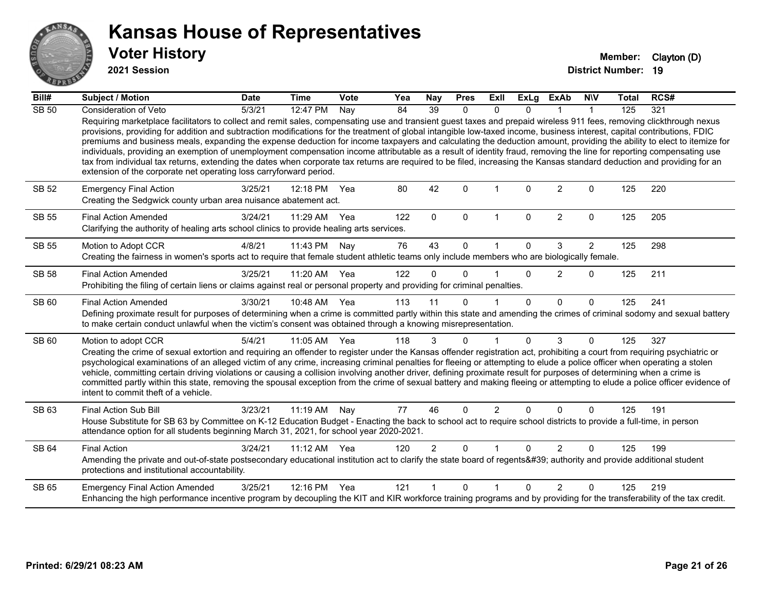

**2021 Session**

| Bill#        | <b>Subject / Motion</b>                                                                                                                                                                                                                                                                                                                                                                                                                                                                                                                                                                                                                                                                                                                                                                                                                                                                                                                            | <b>Date</b> | <b>Time</b>  | <b>Vote</b> | Yea | Nay            | <b>Pres</b>  | ExII           | <b>ExLg</b> | <b>ExAb</b>    | <b>NIV</b>     | <b>Total</b> | RCS# |
|--------------|----------------------------------------------------------------------------------------------------------------------------------------------------------------------------------------------------------------------------------------------------------------------------------------------------------------------------------------------------------------------------------------------------------------------------------------------------------------------------------------------------------------------------------------------------------------------------------------------------------------------------------------------------------------------------------------------------------------------------------------------------------------------------------------------------------------------------------------------------------------------------------------------------------------------------------------------------|-------------|--------------|-------------|-----|----------------|--------------|----------------|-------------|----------------|----------------|--------------|------|
| <b>SB 50</b> | Consideration of Veto                                                                                                                                                                                                                                                                                                                                                                                                                                                                                                                                                                                                                                                                                                                                                                                                                                                                                                                              | 5/3/21      | $12:47$ PM   | Nay         | 84  | 39             | 0            | $\Omega$       | $\Omega$    |                |                | 125          | 321  |
|              | Requiring marketplace facilitators to collect and remit sales, compensating use and transient guest taxes and prepaid wireless 911 fees, removing clickthrough nexus<br>provisions, providing for addition and subtraction modifications for the treatment of global intangible low-taxed income, business interest, capital contributions, FDIC<br>premiums and business meals, expanding the expense deduction for income taxpayers and calculating the deduction amount, providing the ability to elect to itemize for<br>individuals, providing an exemption of unemployment compensation income attributable as a result of identity fraud, removing the line for reporting compensating use<br>tax from individual tax returns, extending the dates when corporate tax returns are required to be filed, increasing the Kansas standard deduction and providing for an<br>extension of the corporate net operating loss carryforward period. |             |              |             |     |                |              |                |             |                |                |              |      |
| <b>SB 52</b> | <b>Emergency Final Action</b><br>Creating the Sedgwick county urban area nuisance abatement act.                                                                                                                                                                                                                                                                                                                                                                                                                                                                                                                                                                                                                                                                                                                                                                                                                                                   | 3/25/21     | 12:18 PM     | Yea         | 80  | 42             | $\Omega$     |                | $\Omega$    | 2              | $\Omega$       | 125          | 220  |
| <b>SB 55</b> | <b>Final Action Amended</b><br>Clarifying the authority of healing arts school clinics to provide healing arts services.                                                                                                                                                                                                                                                                                                                                                                                                                                                                                                                                                                                                                                                                                                                                                                                                                           | 3/24/21     | 11:29 AM     | Yea         | 122 | $\mathbf{0}$   | $\mathbf{0}$ | $\mathbf{1}$   | $\Omega$    | $\overline{2}$ | $\Omega$       | 125          | 205  |
| <b>SB 55</b> | Motion to Adopt CCR                                                                                                                                                                                                                                                                                                                                                                                                                                                                                                                                                                                                                                                                                                                                                                                                                                                                                                                                | 4/8/21      | 11:43 PM     | Nay         | 76  | 43             | $\Omega$     |                | $\Omega$    | 3              | $\overline{2}$ | 125          | 298  |
|              | Creating the fairness in women's sports act to require that female student athletic teams only include members who are biologically female.                                                                                                                                                                                                                                                                                                                                                                                                                                                                                                                                                                                                                                                                                                                                                                                                        |             |              |             |     |                |              |                |             |                |                |              |      |
| <b>SB 58</b> | <b>Final Action Amended</b>                                                                                                                                                                                                                                                                                                                                                                                                                                                                                                                                                                                                                                                                                                                                                                                                                                                                                                                        | 3/25/21     | 11:20 AM Yea |             | 122 | $\Omega$       | $\Omega$     |                | $\Omega$    | 2              | $\Omega$       | 125          | 211  |
|              | Prohibiting the filing of certain liens or claims against real or personal property and providing for criminal penalties.                                                                                                                                                                                                                                                                                                                                                                                                                                                                                                                                                                                                                                                                                                                                                                                                                          |             |              |             |     |                |              |                |             |                |                |              |      |
| SB 60        | <b>Final Action Amended</b>                                                                                                                                                                                                                                                                                                                                                                                                                                                                                                                                                                                                                                                                                                                                                                                                                                                                                                                        | 3/30/21     | 10:48 AM Yea |             | 113 | 11             | $\Omega$     |                | $\Omega$    | $\Omega$       | $\Omega$       | 125          | 241  |
|              | Defining proximate result for purposes of determining when a crime is committed partly within this state and amending the crimes of criminal sodomy and sexual battery<br>to make certain conduct unlawful when the victim's consent was obtained through a knowing misrepresentation.                                                                                                                                                                                                                                                                                                                                                                                                                                                                                                                                                                                                                                                             |             |              |             |     |                |              |                |             |                |                |              |      |
| SB 60        | Motion to adopt CCR                                                                                                                                                                                                                                                                                                                                                                                                                                                                                                                                                                                                                                                                                                                                                                                                                                                                                                                                | 5/4/21      | 11:05 AM Yea |             | 118 | 3              | $\Omega$     |                | $\Omega$    | 3              | $\Omega$       | 125          | 327  |
|              | Creating the crime of sexual extortion and requiring an offender to register under the Kansas offender registration act, prohibiting a court from requiring psychiatric or<br>psychological examinations of an alleged victim of any crime, increasing criminal penalties for fleeing or attempting to elude a police officer when operating a stolen<br>vehicle, committing certain driving violations or causing a collision involving another driver, defining proximate result for purposes of determining when a crime is<br>committed partly within this state, removing the spousal exception from the crime of sexual battery and making fleeing or attempting to elude a police officer evidence of<br>intent to commit theft of a vehicle.                                                                                                                                                                                               |             |              |             |     |                |              |                |             |                |                |              |      |
| SB 63        | <b>Final Action Sub Bill</b>                                                                                                                                                                                                                                                                                                                                                                                                                                                                                                                                                                                                                                                                                                                                                                                                                                                                                                                       | 3/23/21     | 11:19 AM Nay |             | 77  | 46             | $\Omega$     | $\overline{2}$ | $\Omega$    | $\Omega$       | $\Omega$       | 125          | 191  |
|              | House Substitute for SB 63 by Committee on K-12 Education Budget - Enacting the back to school act to require school districts to provide a full-time, in person<br>attendance option for all students beginning March 31, 2021, for school year 2020-2021.                                                                                                                                                                                                                                                                                                                                                                                                                                                                                                                                                                                                                                                                                        |             |              |             |     |                |              |                |             |                |                |              |      |
| <b>SB 64</b> | <b>Final Action</b>                                                                                                                                                                                                                                                                                                                                                                                                                                                                                                                                                                                                                                                                                                                                                                                                                                                                                                                                | 3/24/21     | 11:12 AM     | Yea         | 120 | $\overline{2}$ | $\Omega$     |                | $\Omega$    | 2              | $\Omega$       | 125          | 199  |
|              | Amending the private and out-of-state postsecondary educational institution act to clarify the state board of regents' authority and provide additional student<br>protections and institutional accountability.                                                                                                                                                                                                                                                                                                                                                                                                                                                                                                                                                                                                                                                                                                                                   |             |              |             |     |                |              |                |             |                |                |              |      |
| SB 65        | <b>Emergency Final Action Amended</b>                                                                                                                                                                                                                                                                                                                                                                                                                                                                                                                                                                                                                                                                                                                                                                                                                                                                                                              | 3/25/21     | 12:16 PM     | Yea         | 121 |                | $\Omega$     | 1              | $\Omega$    | $\mathcal{P}$  | $\Omega$       | 125          | 219  |
|              | Enhancing the high performance incentive program by decoupling the KIT and KIR workforce training programs and by providing for the transferability of the tax credit.                                                                                                                                                                                                                                                                                                                                                                                                                                                                                                                                                                                                                                                                                                                                                                             |             |              |             |     |                |              |                |             |                |                |              |      |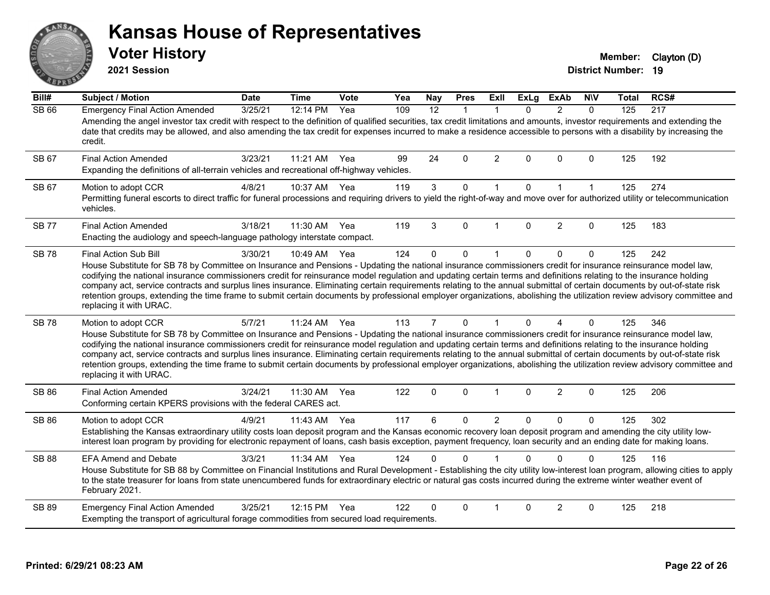# ANS Firm

#### **Kansas House of Representatives**

**2021 Session**

**Voter History Member:** Clayton (D)

| Bill#        | <b>Subject / Motion</b>                                                                                                                                                                                                                                                                                                                                                                                                                                                                                                                                                                                                                                                                                                                        | <b>Date</b> | <b>Time</b> | Vote | Yea | Nay            | <b>Pres</b>  | <b>ExII</b>    | <b>ExLg</b> | <b>ExAb</b>    | <b>NIV</b>   | Total | RCS# |
|--------------|------------------------------------------------------------------------------------------------------------------------------------------------------------------------------------------------------------------------------------------------------------------------------------------------------------------------------------------------------------------------------------------------------------------------------------------------------------------------------------------------------------------------------------------------------------------------------------------------------------------------------------------------------------------------------------------------------------------------------------------------|-------------|-------------|------|-----|----------------|--------------|----------------|-------------|----------------|--------------|-------|------|
| <b>SB 66</b> | <b>Emergency Final Action Amended</b><br>Amending the angel investor tax credit with respect to the definition of qualified securities, tax credit limitations and amounts, investor requirements and extending the<br>date that credits may be allowed, and also amending the tax credit for expenses incurred to make a residence accessible to persons with a disability by increasing the<br>credit.                                                                                                                                                                                                                                                                                                                                       | 3/25/21     | 12:14 PM    | Yea  | 109 | 12             | $\mathbf{1}$ | $\mathbf{1}$   | $\Omega$    | 2              | $\Omega$     | 125   | 217  |
| SB 67        | <b>Final Action Amended</b><br>Expanding the definitions of all-terrain vehicles and recreational off-highway vehicles.                                                                                                                                                                                                                                                                                                                                                                                                                                                                                                                                                                                                                        | 3/23/21     | 11:21 AM    | Yea  | 99  | 24             | $\Omega$     | $\overline{2}$ | $\Omega$    | $\Omega$       | $\Omega$     | 125   | 192  |
| SB 67        | Motion to adopt CCR<br>Permitting funeral escorts to direct traffic for funeral processions and requiring drivers to yield the right-of-way and move over for authorized utility or telecommunication<br>vehicles.                                                                                                                                                                                                                                                                                                                                                                                                                                                                                                                             | 4/8/21      | 10:37 AM    | Yea  | 119 | $\mathbf{3}$   | 0            | $\mathbf{1}$   | $\mathbf 0$ | $\mathbf{1}$   | $\mathbf{1}$ | 125   | 274  |
| <b>SB77</b>  | <b>Final Action Amended</b><br>Enacting the audiology and speech-language pathology interstate compact.                                                                                                                                                                                                                                                                                                                                                                                                                                                                                                                                                                                                                                        | 3/18/21     | 11:30 AM    | Yea  | 119 | 3              | $\Omega$     | 1              | $\Omega$    | 2              | $\Omega$     | 125   | 183  |
| <b>SB78</b>  | Final Action Sub Bill<br>House Substitute for SB 78 by Committee on Insurance and Pensions - Updating the national insurance commissioners credit for insurance reinsurance model law,<br>codifying the national insurance commissioners credit for reinsurance model regulation and updating certain terms and definitions relating to the insurance holding<br>company act, service contracts and surplus lines insurance. Eliminating certain requirements relating to the annual submittal of certain documents by out-of-state risk<br>retention groups, extending the time frame to submit certain documents by professional employer organizations, abolishing the utilization review advisory committee and<br>replacing it with URAC. | 3/30/21     | 10:49 AM    | Yea  | 124 | $\mathbf 0$    | $\mathbf 0$  | 1              | $\Omega$    | $\mathbf 0$    | $\mathbf 0$  | 125   | 242  |
| <b>SB78</b>  | Motion to adopt CCR<br>House Substitute for SB 78 by Committee on Insurance and Pensions - Updating the national insurance commissioners credit for insurance reinsurance model law,<br>codifying the national insurance commissioners credit for reinsurance model regulation and updating certain terms and definitions relating to the insurance holding<br>company act, service contracts and surplus lines insurance. Eliminating certain requirements relating to the annual submittal of certain documents by out-of-state risk<br>retention groups, extending the time frame to submit certain documents by professional employer organizations, abolishing the utilization review advisory committee and<br>replacing it with URAC.   | 5/7/21      | $11:24$ AM  | Yea  | 113 | $\overline{7}$ | 0            | $\mathbf{1}$   | $\Omega$    | $\overline{A}$ | $\Omega$     | 125   | 346  |
| SB 86        | <b>Final Action Amended</b><br>Conforming certain KPERS provisions with the federal CARES act.                                                                                                                                                                                                                                                                                                                                                                                                                                                                                                                                                                                                                                                 | 3/24/21     | 11:30 AM    | Yea  | 122 | $\mathbf 0$    | $\mathbf 0$  | $\mathbf 1$    | 0           | $\overline{2}$ | $\mathbf 0$  | 125   | 206  |
| <b>SB 86</b> | Motion to adopt CCR<br>Establishing the Kansas extraordinary utility costs loan deposit program and the Kansas economic recovery loan deposit program and amending the city utility low-<br>interest loan program by providing for electronic repayment of loans, cash basis exception, payment frequency, loan security and an ending date for making loans.                                                                                                                                                                                                                                                                                                                                                                                  | 4/9/21      | 11:43 AM    | Yea  | 117 | 6              | 0            | $\overline{2}$ | $\Omega$    | $\mathbf{0}$   | $\Omega$     | 125   | 302  |
| <b>SB 88</b> | <b>EFA Amend and Debate</b><br>House Substitute for SB 88 by Committee on Financial Institutions and Rural Development - Establishing the city utility low-interest loan program, allowing cities to apply<br>to the state treasurer for loans from state unencumbered funds for extraordinary electric or natural gas costs incurred during the extreme winter weather event of<br>February 2021.                                                                                                                                                                                                                                                                                                                                             | 3/3/21      | 11:34 AM    | Yea  | 124 | 0              | $\Omega$     |                | $\Omega$    | $\Omega$       | $\mathbf{0}$ | 125   | 116  |
| SB 89        | <b>Emergency Final Action Amended</b><br>Exempting the transport of agricultural forage commodities from secured load requirements.                                                                                                                                                                                                                                                                                                                                                                                                                                                                                                                                                                                                            | 3/25/21     | 12:15 PM    | Yea  | 122 | 0              | $\Omega$     | 1              | $\Omega$    | 2              | $\Omega$     | 125   | 218  |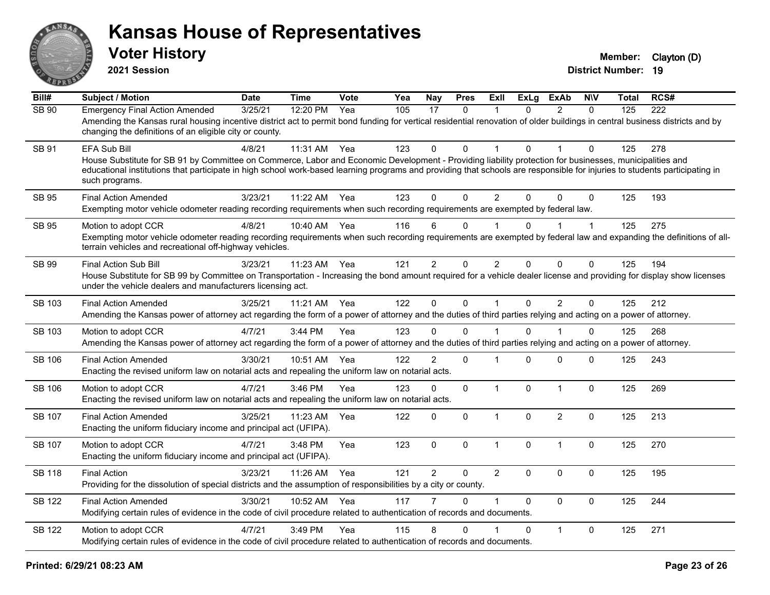

**2021 Session**

| Bill#         | <b>Subject / Motion</b>                                                                                                                                                                                                                                                                                                                                                 | <b>Date</b> | <b>Time</b> | Vote | Yea | Nay            | <b>Pres</b>  | <b>ExII</b>    | <b>ExLg</b>  | <b>ExAb</b>    | <b>NIV</b>   | Total | RCS# |
|---------------|-------------------------------------------------------------------------------------------------------------------------------------------------------------------------------------------------------------------------------------------------------------------------------------------------------------------------------------------------------------------------|-------------|-------------|------|-----|----------------|--------------|----------------|--------------|----------------|--------------|-------|------|
| <b>SB 90</b>  | <b>Emergency Final Action Amended</b><br>Amending the Kansas rural housing incentive district act to permit bond funding for vertical residential renovation of older buildings in central business districts and by<br>changing the definitions of an eligible city or county.                                                                                         | 3/25/21     | 12:20 PM    | Yea  | 105 | 17             | $\mathbf{0}$ | 1              | $\Omega$     | 2              | $\mathbf{0}$ | 125   | 222  |
| SB 91         | EFA Sub Bill<br>House Substitute for SB 91 by Committee on Commerce, Labor and Economic Development - Providing liability protection for businesses, municipalities and<br>educational institutions that participate in high school work-based learning programs and providing that schools are responsible for injuries to students participating in<br>such programs. | 4/8/21      | 11:31 AM    | Yea  | 123 | 0              | $\Omega$     | 1              | $\Omega$     |                | $\Omega$     | 125   | 278  |
| <b>SB 95</b>  | <b>Final Action Amended</b><br>Exempting motor vehicle odometer reading recording requirements when such recording requirements are exempted by federal law.                                                                                                                                                                                                            | 3/23/21     | 11:22 AM    | Yea  | 123 | $\Omega$       | $\Omega$     | $\overline{c}$ | $\Omega$     | $\Omega$       | $\Omega$     | 125   | 193  |
| SB 95         | Motion to adopt CCR<br>Exempting motor vehicle odometer reading recording requirements when such recording requirements are exempted by federal law and expanding the definitions of all-<br>terrain vehicles and recreational off-highway vehicles.                                                                                                                    | 4/8/21      | 10:40 AM    | Yea  | 116 | 6              | $\mathbf 0$  |                | 0            |                | 1            | 125   | 275  |
| SB 99         | <b>Final Action Sub Bill</b><br>House Substitute for SB 99 by Committee on Transportation - Increasing the bond amount required for a vehicle dealer license and providing for display show licenses<br>under the vehicle dealers and manufacturers licensing act.                                                                                                      | 3/23/21     | 11:23 AM    | Yea  | 121 | $\overline{2}$ | $\Omega$     | $\overline{2}$ | $\Omega$     | $\mathbf{0}$   | 0            | 125   | 194  |
| SB 103        | <b>Final Action Amended</b><br>Amending the Kansas power of attorney act regarding the form of a power of attorney and the duties of third parties relying and acting on a power of attorney.                                                                                                                                                                           | 3/25/21     | 11:21 AM    | Yea  | 122 | $\Omega$       | $\mathbf 0$  | $\mathbf{1}$   | $\Omega$     | 2              | $\Omega$     | 125   | 212  |
| SB 103        | Motion to adopt CCR<br>Amending the Kansas power of attorney act regarding the form of a power of attorney and the duties of third parties relying and acting on a power of attorney.                                                                                                                                                                                   | 4/7/21      | 3:44 PM     | Yea  | 123 | $\Omega$       | $\Omega$     |                | $\Omega$     |                | $\Omega$     | 125   | 268  |
| <b>SB 106</b> | <b>Final Action Amended</b><br>Enacting the revised uniform law on notarial acts and repealing the uniform law on notarial acts.                                                                                                                                                                                                                                        | 3/30/21     | 10:51 AM    | Yea  | 122 | $\overline{2}$ | $\mathbf 0$  | 1              | $\Omega$     | $\mathbf 0$    | 0            | 125   | 243  |
| <b>SB 106</b> | Motion to adopt CCR<br>Enacting the revised uniform law on notarial acts and repealing the uniform law on notarial acts.                                                                                                                                                                                                                                                | 4/7/21      | 3:46 PM     | Yea  | 123 | $\mathbf 0$    | $\Omega$     | $\mathbf{1}$   | $\mathbf{0}$ | $\overline{1}$ | $\mathbf 0$  | 125   | 269  |
| SB 107        | <b>Final Action Amended</b><br>Enacting the uniform fiduciary income and principal act (UFIPA).                                                                                                                                                                                                                                                                         | 3/25/21     | 11:23 AM    | Yea  | 122 | $\mathbf 0$    | 0            | $\mathbf{1}$   | $\Omega$     | $\overline{2}$ | $\mathbf 0$  | 125   | 213  |
| <b>SB 107</b> | Motion to adopt CCR<br>Enacting the uniform fiduciary income and principal act (UFIPA).                                                                                                                                                                                                                                                                                 | 4/7/21      | 3:48 PM     | Yea  | 123 | $\mathbf 0$    | $\mathbf 0$  | $\mathbf{1}$   | 0            | $\overline{1}$ | $\mathbf 0$  | 125   | 270  |
| <b>SB 118</b> | <b>Final Action</b><br>Providing for the dissolution of special districts and the assumption of responsibilities by a city or county.                                                                                                                                                                                                                                   | 3/23/21     | 11:26 AM    | Yea  | 121 | $\overline{2}$ | 0            | $\overline{2}$ | $\Omega$     | $\mathbf 0$    | $\mathbf 0$  | 125   | 195  |
| <b>SB 122</b> | <b>Final Action Amended</b><br>Modifying certain rules of evidence in the code of civil procedure related to authentication of records and documents.                                                                                                                                                                                                                   | 3/30/21     | 10:52 AM    | Yea  | 117 |                | $\Omega$     | 1              | $\Omega$     | $\Omega$       | $\mathbf 0$  | 125   | 244  |
| <b>SB 122</b> | Motion to adopt CCR<br>Modifying certain rules of evidence in the code of civil procedure related to authentication of records and documents.                                                                                                                                                                                                                           | 4/7/21      | 3:49 PM     | Yea  | 115 | 8              | $\Omega$     |                | $\Omega$     | $\mathbf{1}$   | $\mathbf 0$  | 125   | 271  |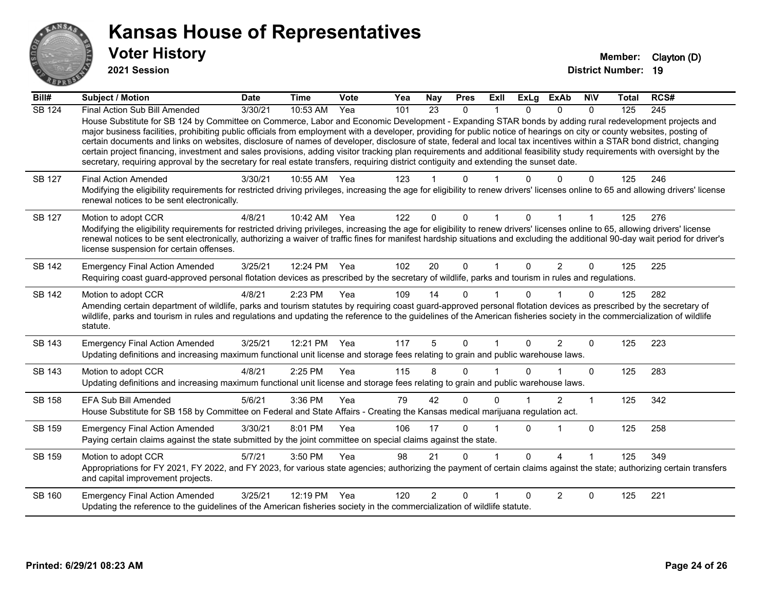

**2021 Session**

| Bill#         | <b>Subject / Motion</b>                                                                                                                                                                                                                                                                                                                                                                                                                                                                                                                                                                                                                                                                                                                                                                                                                                              | <b>Date</b> | <b>Time</b> | Vote | Yea | <b>Nay</b>      | <b>Pres</b> | ExII         | <b>ExLg</b>  | <b>ExAb</b>    | <b>NIV</b>     | <b>Total</b> | RCS# |
|---------------|----------------------------------------------------------------------------------------------------------------------------------------------------------------------------------------------------------------------------------------------------------------------------------------------------------------------------------------------------------------------------------------------------------------------------------------------------------------------------------------------------------------------------------------------------------------------------------------------------------------------------------------------------------------------------------------------------------------------------------------------------------------------------------------------------------------------------------------------------------------------|-------------|-------------|------|-----|-----------------|-------------|--------------|--------------|----------------|----------------|--------------|------|
| <b>SB 124</b> | Final Action Sub Bill Amended<br>House Substitute for SB 124 by Committee on Commerce, Labor and Economic Development - Expanding STAR bonds by adding rural redevelopment projects and<br>major business facilities, prohibiting public officials from employment with a developer, providing for public notice of hearings on city or county websites, posting of<br>certain documents and links on websites, disclosure of names of developer, disclosure of state, federal and local tax incentives within a STAR bond district, changing<br>certain project financing, investment and sales provisions, adding visitor tracking plan requirements and additional feasibility study requirements with oversight by the<br>secretary, requiring approval by the secretary for real estate transfers, requiring district contiguity and extending the sunset date. | 3/30/21     | 10:53 AM    | Yea  | 101 | $\overline{23}$ | 0           |              | 0            | 0              | $\Omega$       | 125          | 245  |
| SB 127        | <b>Final Action Amended</b><br>Modifying the eligibility requirements for restricted driving privileges, increasing the age for eligibility to renew drivers' licenses online to 65 and allowing drivers' license<br>renewal notices to be sent electronically.                                                                                                                                                                                                                                                                                                                                                                                                                                                                                                                                                                                                      | 3/30/21     | 10:55 AM    | Yea  | 123 |                 | 0           |              |              |                | 0              | 125          | 246  |
| SB 127        | Motion to adopt CCR<br>Modifying the eligibility requirements for restricted driving privileges, increasing the age for eligibility to renew drivers' licenses online to 65, allowing drivers' license<br>renewal notices to be sent electronically, authorizing a waiver of traffic fines for manifest hardship situations and excluding the additional 90-day wait period for driver's<br>license suspension for certain offenses.                                                                                                                                                                                                                                                                                                                                                                                                                                 | 4/8/21      | 10:42 AM    | Yea  | 122 | $\Omega$        | $\Omega$    |              |              |                |                | 125          | 276  |
| SB 142        | <b>Emergency Final Action Amended</b><br>Requiring coast guard-approved personal flotation devices as prescribed by the secretary of wildlife, parks and tourism in rules and regulations.                                                                                                                                                                                                                                                                                                                                                                                                                                                                                                                                                                                                                                                                           | 3/25/21     | 12:24 PM    | Yea  | 102 | 20              | $\mathbf 0$ | $\mathbf{1}$ | $\Omega$     | $\overline{2}$ | $\Omega$       | 125          | 225  |
| SB 142        | Motion to adopt CCR<br>Amending certain department of wildlife, parks and tourism statutes by requiring coast guard-approved personal flotation devices as prescribed by the secretary of<br>wildlife, parks and tourism in rules and regulations and updating the reference to the guidelines of the American fisheries society in the commercialization of wildlife<br>statute.                                                                                                                                                                                                                                                                                                                                                                                                                                                                                    | 4/8/21      | 2:23 PM     | Yea  | 109 | 14              | $\Omega$    |              | <sup>n</sup> |                | $\Omega$       | 125          | 282  |
| SB 143        | <b>Emergency Final Action Amended</b><br>Updating definitions and increasing maximum functional unit license and storage fees relating to grain and public warehouse laws.                                                                                                                                                                                                                                                                                                                                                                                                                                                                                                                                                                                                                                                                                           | 3/25/21     | 12:21 PM    | Yea  | 117 | 5               | $\Omega$    | 1            | $\mathbf{0}$ | $\overline{2}$ | 0              | 125          | 223  |
| SB 143        | Motion to adopt CCR<br>Updating definitions and increasing maximum functional unit license and storage fees relating to grain and public warehouse laws.                                                                                                                                                                                                                                                                                                                                                                                                                                                                                                                                                                                                                                                                                                             | 4/8/21      | $2:25$ PM   | Yea  | 115 | 8               | $\Omega$    |              | 0            |                | $\Omega$       | 125          | 283  |
| SB 158        | <b>EFA Sub Bill Amended</b><br>House Substitute for SB 158 by Committee on Federal and State Affairs - Creating the Kansas medical marijuana regulation act.                                                                                                                                                                                                                                                                                                                                                                                                                                                                                                                                                                                                                                                                                                         | 5/6/21      | 3:36 PM     | Yea  | 79  | 42              | $\Omega$    | $\Omega$     |              | 2              | $\overline{1}$ | 125          | 342  |
| SB 159        | <b>Emergency Final Action Amended</b><br>Paying certain claims against the state submitted by the joint committee on special claims against the state.                                                                                                                                                                                                                                                                                                                                                                                                                                                                                                                                                                                                                                                                                                               | 3/30/21     | 8:01 PM     | Yea  | 106 | 17              | 0           | 1            | 0            |                | $\mathbf 0$    | 125          | 258  |
| SB 159        | Motion to adopt CCR<br>Appropriations for FY 2021, FY 2022, and FY 2023, for various state agencies; authorizing the payment of certain claims against the state; authorizing certain transfers<br>and capital improvement projects.                                                                                                                                                                                                                                                                                                                                                                                                                                                                                                                                                                                                                                 | 5/7/21      | 3:50 PM     | Yea  | 98  | 21              | $\Omega$    | 1            | $\Omega$     | 4              | 1              | 125          | 349  |
| SB 160        | <b>Emergency Final Action Amended</b><br>Updating the reference to the guidelines of the American fisheries society in the commercialization of wildlife statute.                                                                                                                                                                                                                                                                                                                                                                                                                                                                                                                                                                                                                                                                                                    | 3/25/21     | 12:19 PM    | Yea  | 120 | $\overline{2}$  | $\Omega$    |              |              | $\overline{2}$ | 0              | 125          | 221  |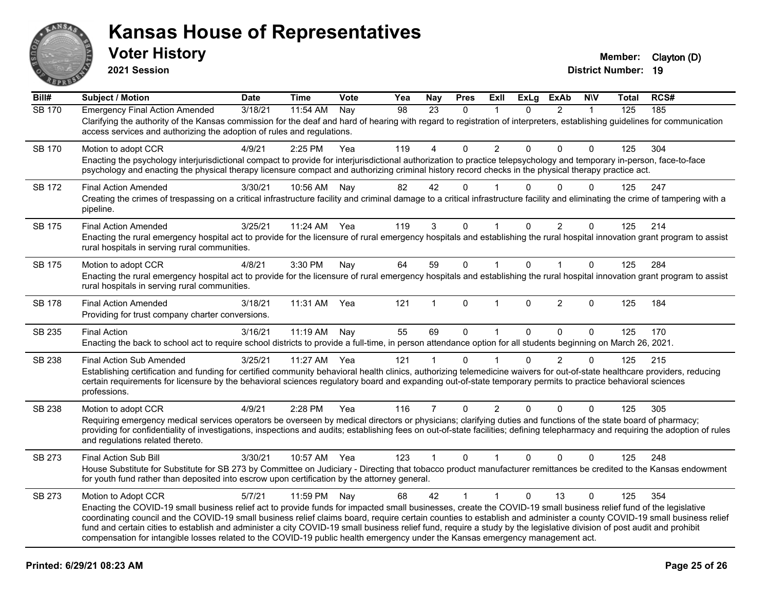

**2021 Session**

| Bill#         | <b>Subject / Motion</b>                                                                                                                                                                                                                                                                                                                                                                                                                                                                                                                                                                                                                                                       | <b>Date</b> | <b>Time</b> | Vote | Yea             | <b>Nay</b>     | <b>Pres</b>  | ExIl                 | <b>ExLg</b>  | <b>ExAb</b>    | <b>NIV</b>   | Total | RCS# |
|---------------|-------------------------------------------------------------------------------------------------------------------------------------------------------------------------------------------------------------------------------------------------------------------------------------------------------------------------------------------------------------------------------------------------------------------------------------------------------------------------------------------------------------------------------------------------------------------------------------------------------------------------------------------------------------------------------|-------------|-------------|------|-----------------|----------------|--------------|----------------------|--------------|----------------|--------------|-------|------|
| <b>SB 170</b> | <b>Emergency Final Action Amended</b><br>Clarifying the authority of the Kansas commission for the deaf and hard of hearing with regard to registration of interpreters, establishing guidelines for communication<br>access services and authorizing the adoption of rules and regulations.                                                                                                                                                                                                                                                                                                                                                                                  | 3/18/21     | 11:54 AM    | Nay  | $\overline{98}$ | 23             | $\Omega$     | 1                    | $\Omega$     | $\overline{2}$ | $\mathbf{1}$ | 125   | 185  |
| SB 170        | Motion to adopt CCR<br>Enacting the psychology interjurisdictional compact to provide for interjurisdictional authorization to practice telepsychology and temporary in-person, face-to-face<br>psychology and enacting the physical therapy licensure compact and authorizing criminal history record checks in the physical therapy practice act.                                                                                                                                                                                                                                                                                                                           | 4/9/21      | 2:25 PM     | Yea  | 119             | 4              | $\Omega$     | $\overline{2}$       | $\Omega$     | $\Omega$       | $\Omega$     | 125   | 304  |
| <b>SB 172</b> | <b>Final Action Amended</b><br>Creating the crimes of trespassing on a critical infrastructure facility and criminal damage to a critical infrastructure facility and eliminating the crime of tampering with a<br>pipeline.                                                                                                                                                                                                                                                                                                                                                                                                                                                  | 3/30/21     | 10:56 AM    | Nay  | 82              | 42             | $\Omega$     |                      | $\Omega$     | $\Omega$       | $\Omega$     | 125   | 247  |
| <b>SB 175</b> | <b>Final Action Amended</b><br>Enacting the rural emergency hospital act to provide for the licensure of rural emergency hospitals and establishing the rural hospital innovation grant program to assist<br>rural hospitals in serving rural communities.                                                                                                                                                                                                                                                                                                                                                                                                                    | 3/25/21     | 11:24 AM    | Yea  | 119             | 3              | 0            | $\blacktriangleleft$ | $\Omega$     | $\overline{c}$ | 0            | 125   | 214  |
| <b>SB 175</b> | Motion to adopt CCR<br>Enacting the rural emergency hospital act to provide for the licensure of rural emergency hospitals and establishing the rural hospital innovation grant program to assist<br>rural hospitals in serving rural communities.                                                                                                                                                                                                                                                                                                                                                                                                                            | 4/8/21      | 3:30 PM     | Nay  | 64              | 59             | $\mathbf 0$  | $\mathbf{1}$         | $\Omega$     | $\mathbf{1}$   | $\Omega$     | 125   | 284  |
| <b>SB 178</b> | <b>Final Action Amended</b><br>Providing for trust company charter conversions.                                                                                                                                                                                                                                                                                                                                                                                                                                                                                                                                                                                               | 3/18/21     | 11:31 AM    | Yea  | 121             | 1              | $\Omega$     | $\blacktriangleleft$ | $\Omega$     | $\overline{2}$ | $\mathbf{0}$ | 125   | 184  |
| SB 235        | <b>Final Action</b><br>Enacting the back to school act to require school districts to provide a full-time, in person attendance option for all students beginning on March 26, 2021.                                                                                                                                                                                                                                                                                                                                                                                                                                                                                          | 3/16/21     | 11:19 AM    | Nay  | 55              | 69             | $\mathbf 0$  | $\mathbf{1}$         | $\mathbf{0}$ | $\mathbf{0}$   | $\Omega$     | 125   | 170  |
| SB 238        | <b>Final Action Sub Amended</b><br>Establishing certification and funding for certified community behavioral health clinics, authorizing telemedicine waivers for out-of-state healthcare providers, reducing<br>certain requirements for licensure by the behavioral sciences regulatory board and expanding out-of-state temporary permits to practice behavioral sciences<br>professions.                                                                                                                                                                                                                                                                                  | 3/25/21     | 11:27 AM    | Yea  | 121             |                | $\Omega$     |                      | $\Omega$     | $\overline{2}$ | $\mathbf 0$  | 125   | 215  |
| <b>SB 238</b> | Motion to adopt CCR<br>Requiring emergency medical services operators be overseen by medical directors or physicians; clarifying duties and functions of the state board of pharmacy;<br>providing for confidentiality of investigations, inspections and audits; establishing fees on out-of-state facilities; defining telepharmacy and requiring the adoption of rules<br>and regulations related thereto.                                                                                                                                                                                                                                                                 | 4/9/21      | 2:28 PM     | Yea  | 116             | $\overline{7}$ | $\mathbf 0$  | $\overline{2}$       | $\Omega$     | $\Omega$       | $\Omega$     | 125   | 305  |
| SB 273        | Final Action Sub Bill<br>House Substitute for Substitute for SB 273 by Committee on Judiciary - Directing that tobacco product manufacturer remittances be credited to the Kansas endowment<br>for youth fund rather than deposited into escrow upon certification by the attorney general.                                                                                                                                                                                                                                                                                                                                                                                   | 3/30/21     | 10:57 AM    | Yea  | 123             | $\mathbf{1}$   | $\mathbf 0$  | $\mathbf{1}$         | $\Omega$     | $\Omega$       | $\mathbf 0$  | 125   | 248  |
| SB 273        | Motion to Adopt CCR<br>Enacting the COVID-19 small business relief act to provide funds for impacted small businesses, create the COVID-19 small business relief fund of the legislative<br>coordinating council and the COVID-19 small business relief claims board, require certain counties to establish and administer a county COVID-19 small business relief<br>fund and certain cities to establish and administer a city COVID-19 small business relief fund, require a study by the legislative division of post audit and prohibit<br>compensation for intangible losses related to the COVID-19 public health emergency under the Kansas emergency management act. | 5/7/21      | 11:59 PM    | Nay  | 68              | 42             | $\mathbf{1}$ | $\mathbf{1}$         | $\Omega$     | 13             | $\Omega$     | 125   | 354  |